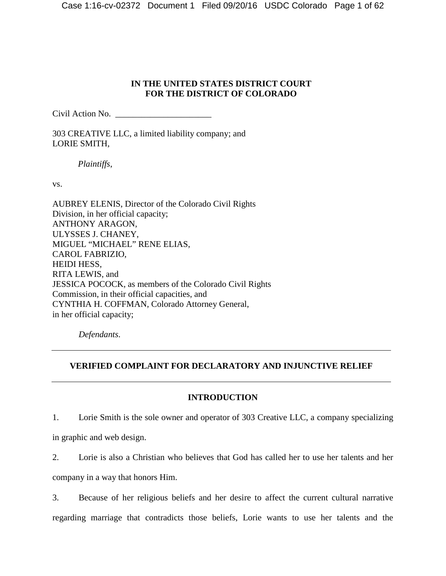## **IN THE UNITED STATES DISTRICT COURT FOR THE DISTRICT OF COLORADO**

Civil Action No. \_\_\_\_\_\_\_\_\_\_\_\_\_\_\_\_\_\_\_\_\_\_

303 CREATIVE LLC, a limited liability company; and LORIE SMITH,

*Plaintiffs*,

vs.

AUBREY ELENIS, Director of the Colorado Civil Rights Division, in her official capacity; ANTHONY ARAGON, ULYSSES J. CHANEY, MIGUEL "MICHAEL" RENE ELIAS, CAROL FABRIZIO, HEIDI HESS, RITA LEWIS, and JESSICA POCOCK, as members of the Colorado Civil Rights Commission, in their official capacities, and CYNTHIA H. COFFMAN, Colorado Attorney General, in her official capacity;

*Defendants*.

## **VERIFIED COMPLAINT FOR DECLARATORY AND INJUNCTIVE RELIEF**

## **INTRODUCTION**

1. Lorie Smith is the sole owner and operator of 303 Creative LLC, a company specializing

in graphic and web design.

2. Lorie is also a Christian who believes that God has called her to use her talents and her company in a way that honors Him.

3. Because of her religious beliefs and her desire to affect the current cultural narrative regarding marriage that contradicts those beliefs, Lorie wants to use her talents and the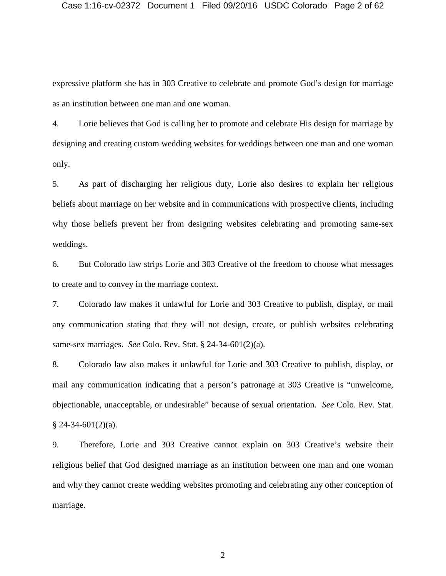expressive platform she has in 303 Creative to celebrate and promote God's design for marriage as an institution between one man and one woman.

4. Lorie believes that God is calling her to promote and celebrate His design for marriage by designing and creating custom wedding websites for weddings between one man and one woman only.

5. As part of discharging her religious duty, Lorie also desires to explain her religious beliefs about marriage on her website and in communications with prospective clients, including why those beliefs prevent her from designing websites celebrating and promoting same-sex weddings.

6. But Colorado law strips Lorie and 303 Creative of the freedom to choose what messages to create and to convey in the marriage context.

7. Colorado law makes it unlawful for Lorie and 303 Creative to publish, display, or mail any communication stating that they will not design, create, or publish websites celebrating same-sex marriages. *See* Colo. Rev. Stat. § 24-34-601(2)(a).

8. Colorado law also makes it unlawful for Lorie and 303 Creative to publish, display, or mail any communication indicating that a person's patronage at 303 Creative is "unwelcome, objectionable, unacceptable, or undesirable" because of sexual orientation. *See* Colo. Rev. Stat.  $§$  24-34-601(2)(a).

9. Therefore, Lorie and 303 Creative cannot explain on 303 Creative's website their religious belief that God designed marriage as an institution between one man and one woman and why they cannot create wedding websites promoting and celebrating any other conception of marriage.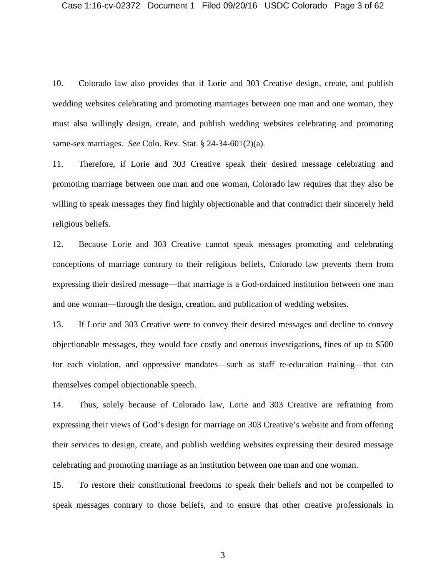10. Colorado law also provides that if Lorie and 303 Creative design, create, and publish wedding websites celebrating and promoting marriages between one man and one woman, they must also willingly design, create, and publish wedding websites celebrating and promoting same-sex marriages. *See* Colo. Rev. Stat. § 24-34-601(2)(a).

11. Therefore, if Lorie and 303 Creative speak their desired message celebrating and promoting marriage between one man and one woman, Colorado law requires that they also be willing to speak messages they find highly objectionable and that contradict their sincerely held religious beliefs.

12. Because Lorie and 303 Creative cannot speak messages promoting and celebrating conceptions of marriage contrary to their religious beliefs, Colorado law prevents them from expressing their desired message—that marriage is a God-ordained institution between one man and one woman—through the design, creation, and publication of wedding websites.

13. If Lorie and 303 Creative were to convey their desired messages and decline to convey objectionable messages, they would face costly and onerous investigations, fines of up to \$500 for each violation, and oppressive mandates—such as staff re-education training—that can themselves compel objectionable speech.

14. Thus, solely because of Colorado law, Lorie and 303 Creative are refraining from expressing their views of God's design for marriage on 303 Creative's website and from offering their services to design, create, and publish wedding websites expressing their desired message celebrating and promoting marriage as an institution between one man and one woman.

15. To restore their constitutional freedoms to speak their beliefs and not be compelled to speak messages contrary to those beliefs, and to ensure that other creative professionals in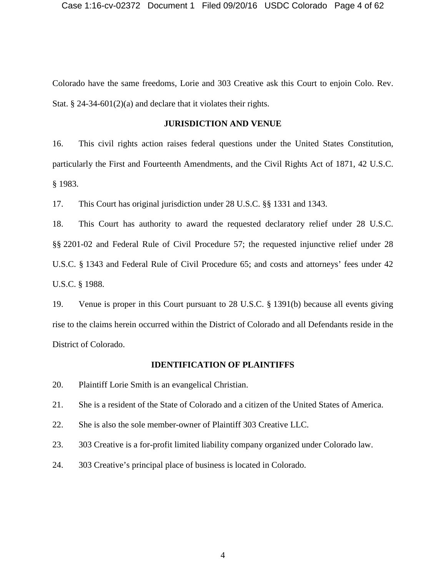Colorado have the same freedoms, Lorie and 303 Creative ask this Court to enjoin Colo. Rev. Stat. § 24-34-601(2)(a) and declare that it violates their rights.

#### **JURISDICTION AND VENUE**

16. This civil rights action raises federal questions under the United States Constitution, particularly the First and Fourteenth Amendments, and the Civil Rights Act of 1871, 42 U.S.C. § 1983.

17. This Court has original jurisdiction under 28 U.S.C. §§ 1331 and 1343.

18. This Court has authority to award the requested declaratory relief under 28 U.S.C. §§ 2201-02 and Federal Rule of Civil Procedure 57; the requested injunctive relief under 28 U.S.C. § 1343 and Federal Rule of Civil Procedure 65; and costs and attorneys' fees under 42 U.S.C. § 1988.

19. Venue is proper in this Court pursuant to 28 U.S.C. § 1391(b) because all events giving rise to the claims herein occurred within the District of Colorado and all Defendants reside in the District of Colorado.

### **IDENTIFICATION OF PLAINTIFFS**

- 20. Plaintiff Lorie Smith is an evangelical Christian.
- 21. She is a resident of the State of Colorado and a citizen of the United States of America.
- 22. She is also the sole member-owner of Plaintiff 303 Creative LLC.
- 23. 303 Creative is a for-profit limited liability company organized under Colorado law.
- 24. 303 Creative's principal place of business is located in Colorado.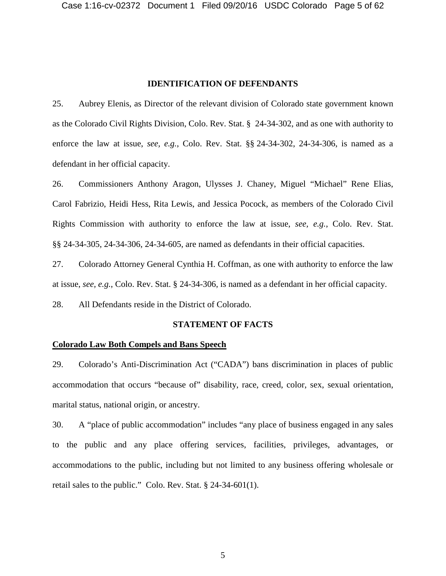### **IDENTIFICATION OF DEFENDANTS**

25. Aubrey Elenis, as Director of the relevant division of Colorado state government known as the Colorado Civil Rights Division, Colo. Rev. Stat. § 24-34-302, and as one with authority to enforce the law at issue, *see, e.g.*, Colo. Rev. Stat. §§ 24-34-302, 24-34-306, is named as a defendant in her official capacity.

26. Commissioners Anthony Aragon, Ulysses J. Chaney, Miguel "Michael" Rene Elias, Carol Fabrizio, Heidi Hess, Rita Lewis, and Jessica Pocock, as members of the Colorado Civil Rights Commission with authority to enforce the law at issue, *see, e.g.*, Colo. Rev. Stat. §§ 24-34-305, 24-34-306, 24-34-605, are named as defendants in their official capacities.

27. Colorado Attorney General Cynthia H. Coffman, as one with authority to enforce the law at issue, *see, e.g.*, Colo. Rev. Stat. § 24-34-306, is named as a defendant in her official capacity.

28. All Defendants reside in the District of Colorado.

#### **STATEMENT OF FACTS**

### **Colorado Law Both Compels and Bans Speech**

29. Colorado's Anti-Discrimination Act ("CADA") bans discrimination in places of public accommodation that occurs "because of" disability, race, creed, color, sex, sexual orientation, marital status, national origin, or ancestry.

30. A "place of public accommodation" includes "any place of business engaged in any sales to the public and any place offering services, facilities, privileges, advantages, or accommodations to the public, including but not limited to any business offering wholesale or retail sales to the public." Colo. Rev. Stat. § 24-34-601(1).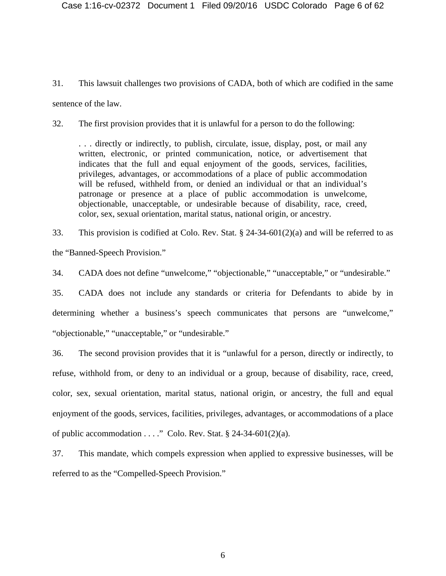31. This lawsuit challenges two provisions of CADA, both of which are codified in the same sentence of the law.

32. The first provision provides that it is unlawful for a person to do the following:

. . . directly or indirectly, to publish, circulate, issue, display, post, or mail any written, electronic, or printed communication, notice, or advertisement that indicates that the full and equal enjoyment of the goods, services, facilities, privileges, advantages, or accommodations of a place of public accommodation will be refused, withheld from, or denied an individual or that an individual's patronage or presence at a place of public accommodation is unwelcome, objectionable, unacceptable, or undesirable because of disability, race, creed, color, sex, sexual orientation, marital status, national origin, or ancestry.

33. This provision is codified at Colo. Rev. Stat. § 24-34-601(2)(a) and will be referred to as the "Banned-Speech Provision."

34. CADA does not define "unwelcome," "objectionable," "unacceptable," or "undesirable."

35. CADA does not include any standards or criteria for Defendants to abide by in determining whether a business's speech communicates that persons are "unwelcome," "objectionable," "unacceptable," or "undesirable."

36. The second provision provides that it is "unlawful for a person, directly or indirectly, to refuse, withhold from, or deny to an individual or a group, because of disability, race, creed, color, sex, sexual orientation, marital status, national origin, or ancestry, the full and equal enjoyment of the goods, services, facilities, privileges, advantages, or accommodations of a place of public accommodation  $\dots$  ." Colo. Rev. Stat. § 24-34-601(2)(a).

37. This mandate, which compels expression when applied to expressive businesses, will be referred to as the "Compelled-Speech Provision."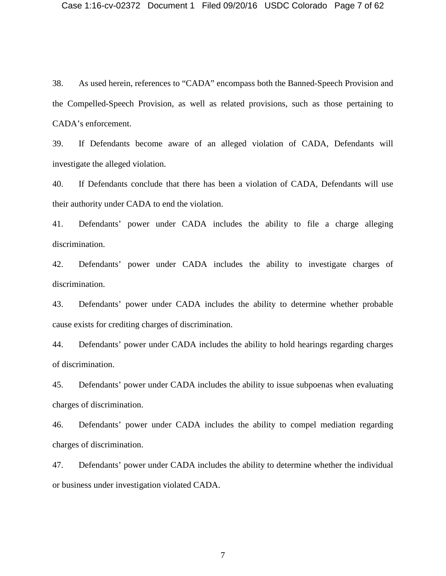38. As used herein, references to "CADA" encompass both the Banned-Speech Provision and the Compelled-Speech Provision, as well as related provisions, such as those pertaining to CADA's enforcement.

39. If Defendants become aware of an alleged violation of CADA, Defendants will investigate the alleged violation.

40. If Defendants conclude that there has been a violation of CADA, Defendants will use their authority under CADA to end the violation.

41. Defendants' power under CADA includes the ability to file a charge alleging discrimination.

42. Defendants' power under CADA includes the ability to investigate charges of discrimination.

43. Defendants' power under CADA includes the ability to determine whether probable cause exists for crediting charges of discrimination.

44. Defendants' power under CADA includes the ability to hold hearings regarding charges of discrimination.

45. Defendants' power under CADA includes the ability to issue subpoenas when evaluating charges of discrimination.

46. Defendants' power under CADA includes the ability to compel mediation regarding charges of discrimination.

47. Defendants' power under CADA includes the ability to determine whether the individual or business under investigation violated CADA.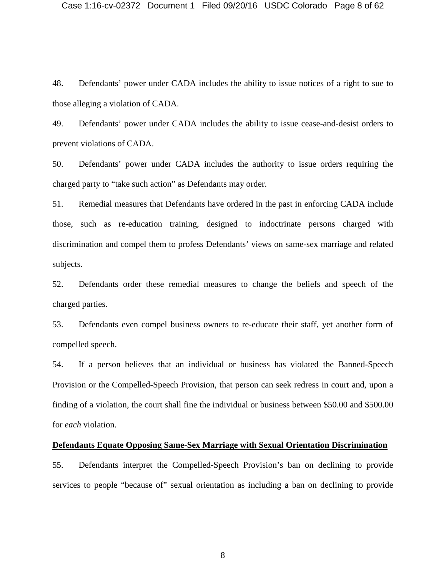48. Defendants' power under CADA includes the ability to issue notices of a right to sue to those alleging a violation of CADA.

49. Defendants' power under CADA includes the ability to issue cease-and-desist orders to prevent violations of CADA.

50. Defendants' power under CADA includes the authority to issue orders requiring the charged party to "take such action" as Defendants may order.

51. Remedial measures that Defendants have ordered in the past in enforcing CADA include those, such as re-education training, designed to indoctrinate persons charged with discrimination and compel them to profess Defendants' views on same-sex marriage and related subjects.

52. Defendants order these remedial measures to change the beliefs and speech of the charged parties.

53. Defendants even compel business owners to re-educate their staff, yet another form of compelled speech.

54. If a person believes that an individual or business has violated the Banned-Speech Provision or the Compelled-Speech Provision, that person can seek redress in court and, upon a finding of a violation, the court shall fine the individual or business between \$50.00 and \$500.00 for *each* violation.

#### **Defendants Equate Opposing Same-Sex Marriage with Sexual Orientation Discrimination**

55. Defendants interpret the Compelled-Speech Provision's ban on declining to provide services to people "because of" sexual orientation as including a ban on declining to provide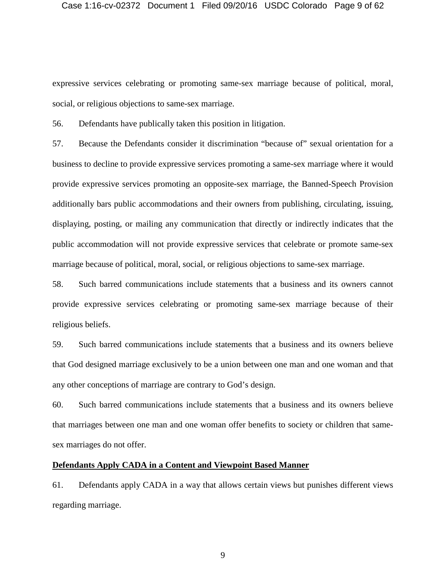expressive services celebrating or promoting same-sex marriage because of political, moral, social, or religious objections to same-sex marriage.

56. Defendants have publically taken this position in litigation.

57. Because the Defendants consider it discrimination "because of" sexual orientation for a business to decline to provide expressive services promoting a same-sex marriage where it would provide expressive services promoting an opposite-sex marriage, the Banned-Speech Provision additionally bars public accommodations and their owners from publishing, circulating, issuing, displaying, posting, or mailing any communication that directly or indirectly indicates that the public accommodation will not provide expressive services that celebrate or promote same-sex marriage because of political, moral, social, or religious objections to same-sex marriage.

58. Such barred communications include statements that a business and its owners cannot provide expressive services celebrating or promoting same-sex marriage because of their religious beliefs.

59. Such barred communications include statements that a business and its owners believe that God designed marriage exclusively to be a union between one man and one woman and that any other conceptions of marriage are contrary to God's design.

60. Such barred communications include statements that a business and its owners believe that marriages between one man and one woman offer benefits to society or children that samesex marriages do not offer.

### **Defendants Apply CADA in a Content and Viewpoint Based Manner**

61. Defendants apply CADA in a way that allows certain views but punishes different views regarding marriage.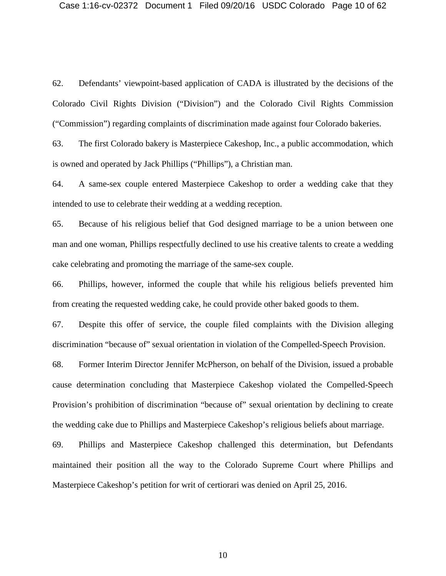62. Defendants' viewpoint-based application of CADA is illustrated by the decisions of the Colorado Civil Rights Division ("Division") and the Colorado Civil Rights Commission ("Commission") regarding complaints of discrimination made against four Colorado bakeries.

63. The first Colorado bakery is Masterpiece Cakeshop, Inc., a public accommodation, which is owned and operated by Jack Phillips ("Phillips"), a Christian man.

64. A same-sex couple entered Masterpiece Cakeshop to order a wedding cake that they intended to use to celebrate their wedding at a wedding reception.

65. Because of his religious belief that God designed marriage to be a union between one man and one woman, Phillips respectfully declined to use his creative talents to create a wedding cake celebrating and promoting the marriage of the same-sex couple.

66. Phillips, however, informed the couple that while his religious beliefs prevented him from creating the requested wedding cake, he could provide other baked goods to them.

67. Despite this offer of service, the couple filed complaints with the Division alleging discrimination "because of" sexual orientation in violation of the Compelled-Speech Provision.

68. Former Interim Director Jennifer McPherson, on behalf of the Division, issued a probable cause determination concluding that Masterpiece Cakeshop violated the Compelled-Speech Provision's prohibition of discrimination "because of" sexual orientation by declining to create the wedding cake due to Phillips and Masterpiece Cakeshop's religious beliefs about marriage.

69. Phillips and Masterpiece Cakeshop challenged this determination, but Defendants maintained their position all the way to the Colorado Supreme Court where Phillips and Masterpiece Cakeshop's petition for writ of certiorari was denied on April 25, 2016.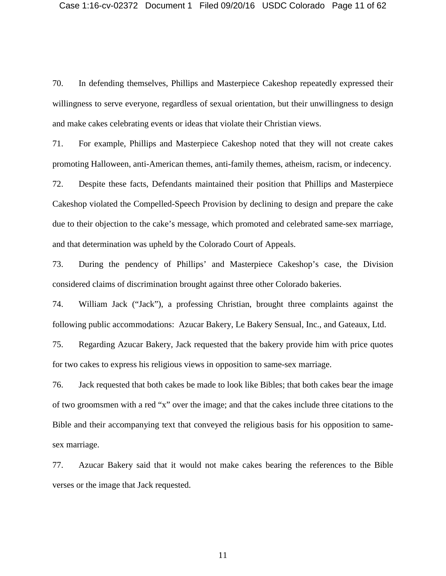70. In defending themselves, Phillips and Masterpiece Cakeshop repeatedly expressed their willingness to serve everyone, regardless of sexual orientation, but their unwillingness to design and make cakes celebrating events or ideas that violate their Christian views.

71. For example, Phillips and Masterpiece Cakeshop noted that they will not create cakes promoting Halloween, anti-American themes, anti-family themes, atheism, racism, or indecency.

72. Despite these facts, Defendants maintained their position that Phillips and Masterpiece Cakeshop violated the Compelled-Speech Provision by declining to design and prepare the cake due to their objection to the cake's message, which promoted and celebrated same-sex marriage, and that determination was upheld by the Colorado Court of Appeals.

73. During the pendency of Phillips' and Masterpiece Cakeshop's case, the Division considered claims of discrimination brought against three other Colorado bakeries.

74. William Jack ("Jack"), a professing Christian, brought three complaints against the following public accommodations: Azucar Bakery, Le Bakery Sensual, Inc., and Gateaux, Ltd.

75. Regarding Azucar Bakery, Jack requested that the bakery provide him with price quotes for two cakes to express his religious views in opposition to same-sex marriage.

76. Jack requested that both cakes be made to look like Bibles; that both cakes bear the image of two groomsmen with a red "x" over the image; and that the cakes include three citations to the Bible and their accompanying text that conveyed the religious basis for his opposition to samesex marriage.

77. Azucar Bakery said that it would not make cakes bearing the references to the Bible verses or the image that Jack requested.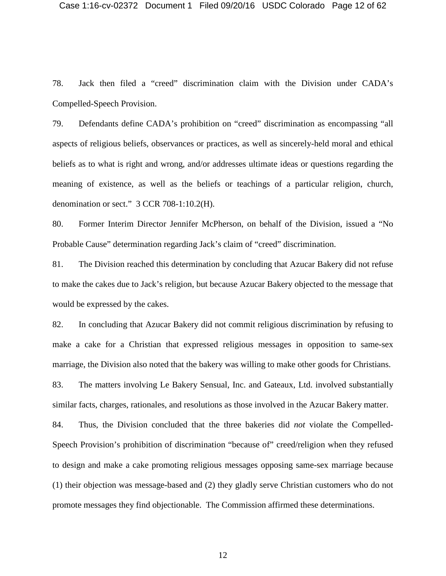78. Jack then filed a "creed" discrimination claim with the Division under CADA's Compelled-Speech Provision.

79. Defendants define CADA's prohibition on "creed" discrimination as encompassing "all aspects of religious beliefs, observances or practices, as well as sincerely-held moral and ethical beliefs as to what is right and wrong, and/or addresses ultimate ideas or questions regarding the meaning of existence, as well as the beliefs or teachings of a particular religion, church, denomination or sect." 3 CCR 708-1:10.2(H).

80. Former Interim Director Jennifer McPherson, on behalf of the Division, issued a "No Probable Cause" determination regarding Jack's claim of "creed" discrimination.

81. The Division reached this determination by concluding that Azucar Bakery did not refuse to make the cakes due to Jack's religion, but because Azucar Bakery objected to the message that would be expressed by the cakes.

82. In concluding that Azucar Bakery did not commit religious discrimination by refusing to make a cake for a Christian that expressed religious messages in opposition to same-sex marriage, the Division also noted that the bakery was willing to make other goods for Christians.

83. The matters involving Le Bakery Sensual, Inc. and Gateaux, Ltd. involved substantially similar facts, charges, rationales, and resolutions as those involved in the Azucar Bakery matter.

84. Thus, the Division concluded that the three bakeries did *not* violate the Compelled-Speech Provision's prohibition of discrimination "because of" creed/religion when they refused to design and make a cake promoting religious messages opposing same-sex marriage because (1) their objection was message-based and (2) they gladly serve Christian customers who do not promote messages they find objectionable. The Commission affirmed these determinations.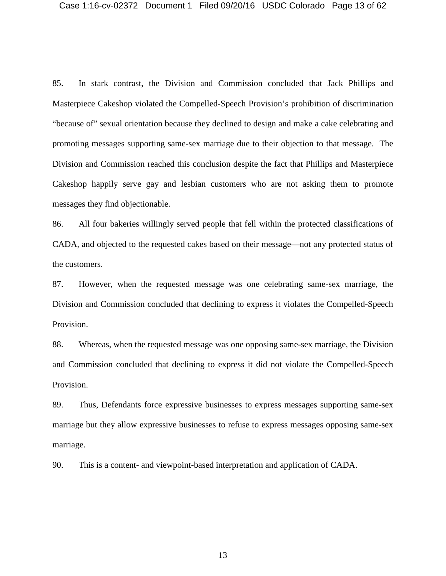85. In stark contrast, the Division and Commission concluded that Jack Phillips and Masterpiece Cakeshop violated the Compelled-Speech Provision's prohibition of discrimination "because of" sexual orientation because they declined to design and make a cake celebrating and promoting messages supporting same-sex marriage due to their objection to that message. The Division and Commission reached this conclusion despite the fact that Phillips and Masterpiece Cakeshop happily serve gay and lesbian customers who are not asking them to promote messages they find objectionable.

86. All four bakeries willingly served people that fell within the protected classifications of CADA, and objected to the requested cakes based on their message—not any protected status of the customers.

87. However, when the requested message was one celebrating same-sex marriage, the Division and Commission concluded that declining to express it violates the Compelled-Speech Provision.

88. Whereas, when the requested message was one opposing same-sex marriage, the Division and Commission concluded that declining to express it did not violate the Compelled-Speech Provision.

89. Thus, Defendants force expressive businesses to express messages supporting same-sex marriage but they allow expressive businesses to refuse to express messages opposing same-sex marriage.

90. This is a content- and viewpoint-based interpretation and application of CADA.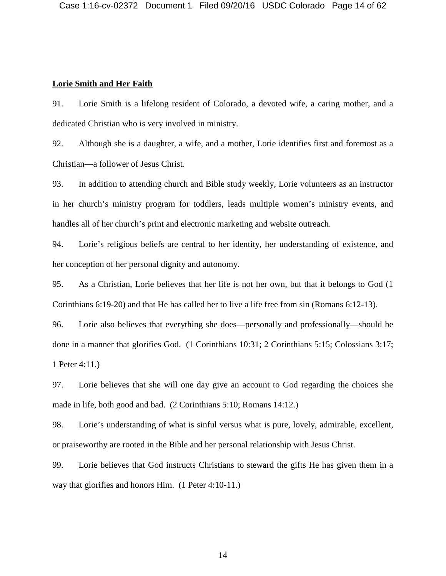### **Lorie Smith and Her Faith**

91. Lorie Smith is a lifelong resident of Colorado, a devoted wife, a caring mother, and a dedicated Christian who is very involved in ministry.

92. Although she is a daughter, a wife, and a mother, Lorie identifies first and foremost as a Christian—a follower of Jesus Christ.

93. In addition to attending church and Bible study weekly, Lorie volunteers as an instructor in her church's ministry program for toddlers, leads multiple women's ministry events, and handles all of her church's print and electronic marketing and website outreach.

94. Lorie's religious beliefs are central to her identity, her understanding of existence, and her conception of her personal dignity and autonomy.

95. As a Christian, Lorie believes that her life is not her own, but that it belongs to God (1 Corinthians 6:19-20) and that He has called her to live a life free from sin (Romans 6:12-13).

96. Lorie also believes that everything she does—personally and professionally—should be done in a manner that glorifies God. (1 Corinthians 10:31; 2 Corinthians 5:15; Colossians 3:17; 1 Peter 4:11.)

97. Lorie believes that she will one day give an account to God regarding the choices she made in life, both good and bad. (2 Corinthians 5:10; Romans 14:12.)

98. Lorie's understanding of what is sinful versus what is pure, lovely, admirable, excellent, or praiseworthy are rooted in the Bible and her personal relationship with Jesus Christ.

99. Lorie believes that God instructs Christians to steward the gifts He has given them in a way that glorifies and honors Him. (1 Peter 4:10-11.)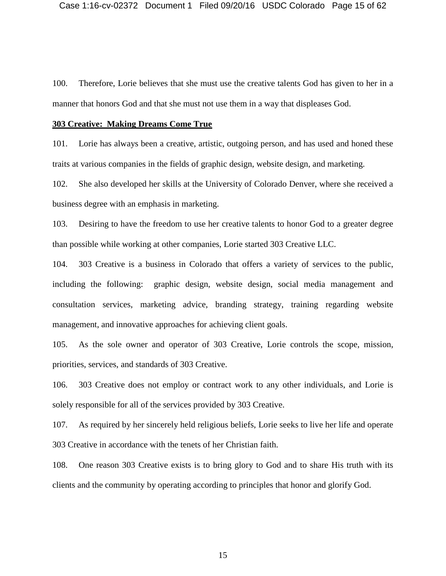100. Therefore, Lorie believes that she must use the creative talents God has given to her in a manner that honors God and that she must not use them in a way that displeases God.

#### **303 Creative: Making Dreams Come True**

101. Lorie has always been a creative, artistic, outgoing person, and has used and honed these traits at various companies in the fields of graphic design, website design, and marketing.

102. She also developed her skills at the University of Colorado Denver, where she received a business degree with an emphasis in marketing.

103. Desiring to have the freedom to use her creative talents to honor God to a greater degree than possible while working at other companies, Lorie started 303 Creative LLC.

104. 303 Creative is a business in Colorado that offers a variety of services to the public, including the following: graphic design, website design, social media management and consultation services, marketing advice, branding strategy, training regarding website management, and innovative approaches for achieving client goals.

105. As the sole owner and operator of 303 Creative, Lorie controls the scope, mission, priorities, services, and standards of 303 Creative.

106. 303 Creative does not employ or contract work to any other individuals, and Lorie is solely responsible for all of the services provided by 303 Creative.

107. As required by her sincerely held religious beliefs, Lorie seeks to live her life and operate 303 Creative in accordance with the tenets of her Christian faith.

108. One reason 303 Creative exists is to bring glory to God and to share His truth with its clients and the community by operating according to principles that honor and glorify God.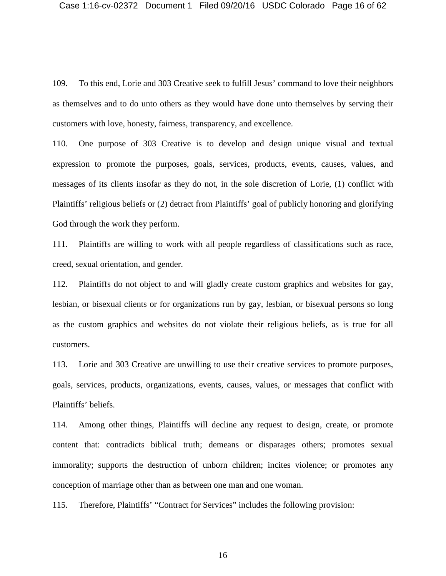109. To this end, Lorie and 303 Creative seek to fulfill Jesus' command to love their neighbors as themselves and to do unto others as they would have done unto themselves by serving their customers with love, honesty, fairness, transparency, and excellence.

110. One purpose of 303 Creative is to develop and design unique visual and textual expression to promote the purposes, goals, services, products, events, causes, values, and messages of its clients insofar as they do not, in the sole discretion of Lorie, (1) conflict with Plaintiffs' religious beliefs or (2) detract from Plaintiffs' goal of publicly honoring and glorifying God through the work they perform.

111. Plaintiffs are willing to work with all people regardless of classifications such as race, creed, sexual orientation, and gender.

112. Plaintiffs do not object to and will gladly create custom graphics and websites for gay, lesbian, or bisexual clients or for organizations run by gay, lesbian, or bisexual persons so long as the custom graphics and websites do not violate their religious beliefs, as is true for all customers.

113. Lorie and 303 Creative are unwilling to use their creative services to promote purposes, goals, services, products, organizations, events, causes, values, or messages that conflict with Plaintiffs' beliefs.

114. Among other things, Plaintiffs will decline any request to design, create, or promote content that: contradicts biblical truth; demeans or disparages others; promotes sexual immorality; supports the destruction of unborn children; incites violence; or promotes any conception of marriage other than as between one man and one woman.

115. Therefore, Plaintiffs' "Contract for Services" includes the following provision: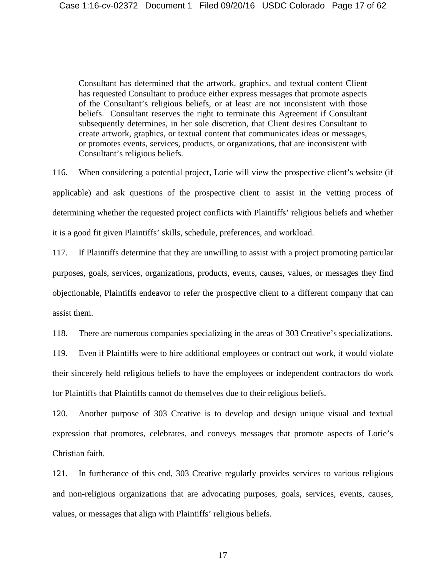Consultant has determined that the artwork, graphics, and textual content Client has requested Consultant to produce either express messages that promote aspects of the Consultant's religious beliefs, or at least are not inconsistent with those beliefs. Consultant reserves the right to terminate this Agreement if Consultant subsequently determines, in her sole discretion, that Client desires Consultant to create artwork, graphics, or textual content that communicates ideas or messages, or promotes events, services, products, or organizations, that are inconsistent with Consultant's religious beliefs.

116. When considering a potential project, Lorie will view the prospective client's website (if applicable) and ask questions of the prospective client to assist in the vetting process of determining whether the requested project conflicts with Plaintiffs' religious beliefs and whether it is a good fit given Plaintiffs' skills, schedule, preferences, and workload.

117. If Plaintiffs determine that they are unwilling to assist with a project promoting particular purposes, goals, services, organizations, products, events, causes, values, or messages they find objectionable, Plaintiffs endeavor to refer the prospective client to a different company that can assist them.

118. There are numerous companies specializing in the areas of 303 Creative's specializations.

119. Even if Plaintiffs were to hire additional employees or contract out work, it would violate their sincerely held religious beliefs to have the employees or independent contractors do work for Plaintiffs that Plaintiffs cannot do themselves due to their religious beliefs.

120. Another purpose of 303 Creative is to develop and design unique visual and textual expression that promotes, celebrates, and conveys messages that promote aspects of Lorie's Christian faith.

121. In furtherance of this end, 303 Creative regularly provides services to various religious and non-religious organizations that are advocating purposes, goals, services, events, causes, values, or messages that align with Plaintiffs' religious beliefs.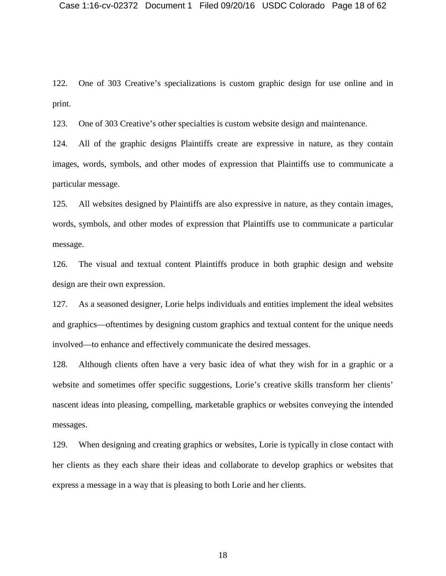122. One of 303 Creative's specializations is custom graphic design for use online and in print.

123. One of 303 Creative's other specialties is custom website design and maintenance.

124. All of the graphic designs Plaintiffs create are expressive in nature, as they contain images, words, symbols, and other modes of expression that Plaintiffs use to communicate a particular message.

125. All websites designed by Plaintiffs are also expressive in nature, as they contain images, words, symbols, and other modes of expression that Plaintiffs use to communicate a particular message.

126. The visual and textual content Plaintiffs produce in both graphic design and website design are their own expression.

127. As a seasoned designer, Lorie helps individuals and entities implement the ideal websites and graphics—oftentimes by designing custom graphics and textual content for the unique needs involved—to enhance and effectively communicate the desired messages.

128. Although clients often have a very basic idea of what they wish for in a graphic or a website and sometimes offer specific suggestions, Lorie's creative skills transform her clients' nascent ideas into pleasing, compelling, marketable graphics or websites conveying the intended messages.

129. When designing and creating graphics or websites, Lorie is typically in close contact with her clients as they each share their ideas and collaborate to develop graphics or websites that express a message in a way that is pleasing to both Lorie and her clients.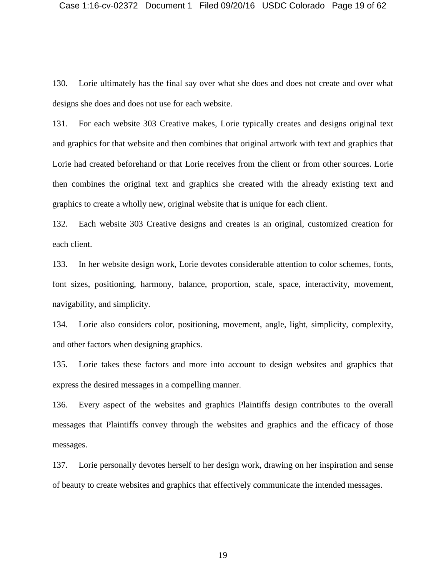130. Lorie ultimately has the final say over what she does and does not create and over what designs she does and does not use for each website.

131. For each website 303 Creative makes, Lorie typically creates and designs original text and graphics for that website and then combines that original artwork with text and graphics that Lorie had created beforehand or that Lorie receives from the client or from other sources. Lorie then combines the original text and graphics she created with the already existing text and graphics to create a wholly new, original website that is unique for each client.

132. Each website 303 Creative designs and creates is an original, customized creation for each client.

133. In her website design work, Lorie devotes considerable attention to color schemes, fonts, font sizes, positioning, harmony, balance, proportion, scale, space, interactivity, movement, navigability, and simplicity.

134. Lorie also considers color, positioning, movement, angle, light, simplicity, complexity, and other factors when designing graphics.

135. Lorie takes these factors and more into account to design websites and graphics that express the desired messages in a compelling manner.

136. Every aspect of the websites and graphics Plaintiffs design contributes to the overall messages that Plaintiffs convey through the websites and graphics and the efficacy of those messages.

137. Lorie personally devotes herself to her design work, drawing on her inspiration and sense of beauty to create websites and graphics that effectively communicate the intended messages.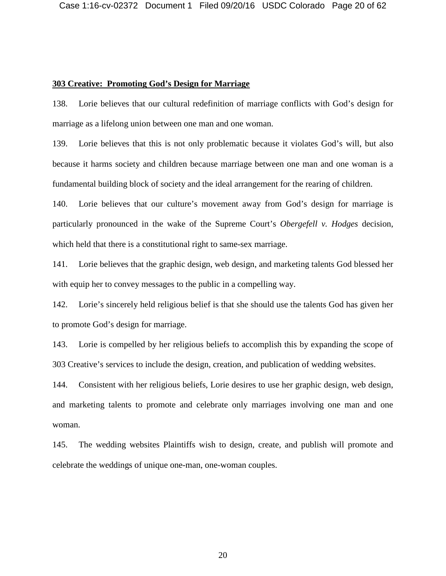## **303 Creative: Promoting God's Design for Marriage**

138. Lorie believes that our cultural redefinition of marriage conflicts with God's design for marriage as a lifelong union between one man and one woman.

139. Lorie believes that this is not only problematic because it violates God's will, but also because it harms society and children because marriage between one man and one woman is a fundamental building block of society and the ideal arrangement for the rearing of children.

140. Lorie believes that our culture's movement away from God's design for marriage is particularly pronounced in the wake of the Supreme Court's *Obergefell v. Hodges* decision, which held that there is a constitutional right to same-sex marriage.

141. Lorie believes that the graphic design, web design, and marketing talents God blessed her with equip her to convey messages to the public in a compelling way.

142. Lorie's sincerely held religious belief is that she should use the talents God has given her to promote God's design for marriage.

143. Lorie is compelled by her religious beliefs to accomplish this by expanding the scope of 303 Creative's services to include the design, creation, and publication of wedding websites.

144. Consistent with her religious beliefs, Lorie desires to use her graphic design, web design, and marketing talents to promote and celebrate only marriages involving one man and one woman.

145. The wedding websites Plaintiffs wish to design, create, and publish will promote and celebrate the weddings of unique one-man, one-woman couples.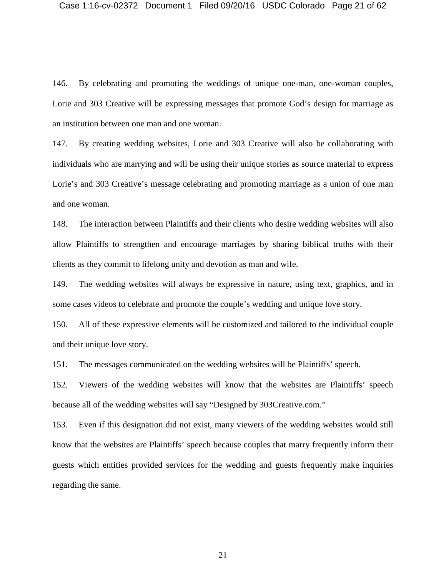146. By celebrating and promoting the weddings of unique one-man, one-woman couples, Lorie and 303 Creative will be expressing messages that promote God's design for marriage as an institution between one man and one woman.

147. By creating wedding websites, Lorie and 303 Creative will also be collaborating with individuals who are marrying and will be using their unique stories as source material to express Lorie's and 303 Creative's message celebrating and promoting marriage as a union of one man and one woman.

148. The interaction between Plaintiffs and their clients who desire wedding websites will also allow Plaintiffs to strengthen and encourage marriages by sharing biblical truths with their clients as they commit to lifelong unity and devotion as man and wife.

149. The wedding websites will always be expressive in nature, using text, graphics, and in some cases videos to celebrate and promote the couple's wedding and unique love story.

150. All of these expressive elements will be customized and tailored to the individual couple and their unique love story.

151. The messages communicated on the wedding websites will be Plaintiffs' speech.

152. Viewers of the wedding websites will know that the websites are Plaintiffs' speech because all of the wedding websites will say "Designed by 303Creative.com."

153. Even if this designation did not exist, many viewers of the wedding websites would still know that the websites are Plaintiffs' speech because couples that marry frequently inform their guests which entities provided services for the wedding and guests frequently make inquiries regarding the same.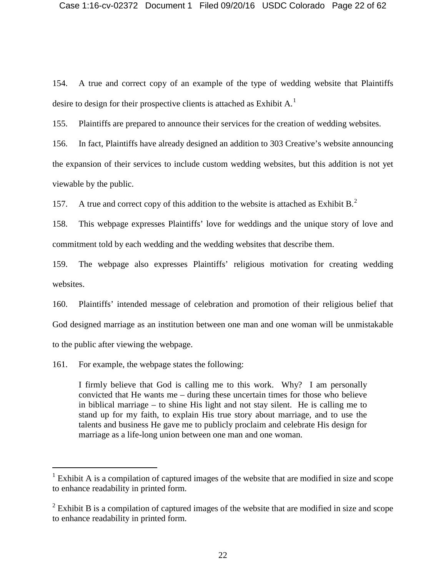154. A true and correct copy of an example of the type of wedding website that Plaintiffs desire to design for their prospective clients is attached as Exhibit  $A<sup>1</sup>$  $A<sup>1</sup>$  $A<sup>1</sup>$ 

155. Plaintiffs are prepared to announce their services for the creation of wedding websites.

156. In fact, Plaintiffs have already designed an addition to 303 Creative's website announcing the expansion of their services to include custom wedding websites, but this addition is not yet viewable by the public.

157. A true and correct copy of this addition to the website is attached as Exhibit  $B<sup>2</sup>$  $B<sup>2</sup>$  $B<sup>2</sup>$ .

158. This webpage expresses Plaintiffs' love for weddings and the unique story of love and commitment told by each wedding and the wedding websites that describe them.

159. The webpage also expresses Plaintiffs' religious motivation for creating wedding websites.

160. Plaintiffs' intended message of celebration and promotion of their religious belief that God designed marriage as an institution between one man and one woman will be unmistakable to the public after viewing the webpage.

161. For example, the webpage states the following:

I firmly believe that God is calling me to this work. Why? I am personally convicted that He wants me – during these uncertain times for those who believe in biblical marriage – to shine His light and not stay silent. He is calling me to stand up for my faith, to explain His true story about marriage, and to use the talents and business He gave me to publicly proclaim and celebrate His design for marriage as a life-long union between one man and one woman.

<span id="page-21-0"></span><sup>&</sup>lt;sup>1</sup> Exhibit A is a compilation of captured images of the website that are modified in size and scope to enhance readability in printed form.

<span id="page-21-1"></span> $2$  Exhibit B is a compilation of captured images of the website that are modified in size and scope to enhance readability in printed form.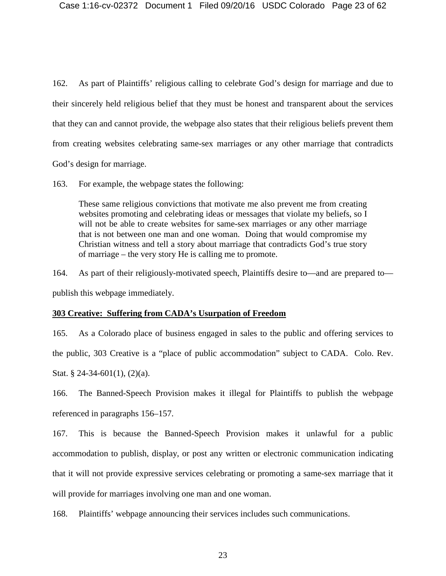162. As part of Plaintiffs' religious calling to celebrate God's design for marriage and due to their sincerely held religious belief that they must be honest and transparent about the services that they can and cannot provide, the webpage also states that their religious beliefs prevent them from creating websites celebrating same-sex marriages or any other marriage that contradicts God's design for marriage.

163. For example, the webpage states the following:

These same religious convictions that motivate me also prevent me from creating websites promoting and celebrating ideas or messages that violate my beliefs, so I will not be able to create websites for same-sex marriages or any other marriage that is not between one man and one woman. Doing that would compromise my Christian witness and tell a story about marriage that contradicts God's true story of marriage – the very story He is calling me to promote.

164. As part of their religiously-motivated speech, Plaintiffs desire to—and are prepared to publish this webpage immediately.

### **303 Creative: Suffering from CADA's Usurpation of Freedom**

165. As a Colorado place of business engaged in sales to the public and offering services to the public, 303 Creative is a "place of public accommodation" subject to CADA. Colo. Rev. Stat. § 24-34-601(1),  $(2)(a)$ .

166. The Banned-Speech Provision makes it illegal for Plaintiffs to publish the webpage referenced in paragraphs 156–157.

167. This is because the Banned-Speech Provision makes it unlawful for a public accommodation to publish, display, or post any written or electronic communication indicating that it will not provide expressive services celebrating or promoting a same-sex marriage that it will provide for marriages involving one man and one woman.

168. Plaintiffs' webpage announcing their services includes such communications.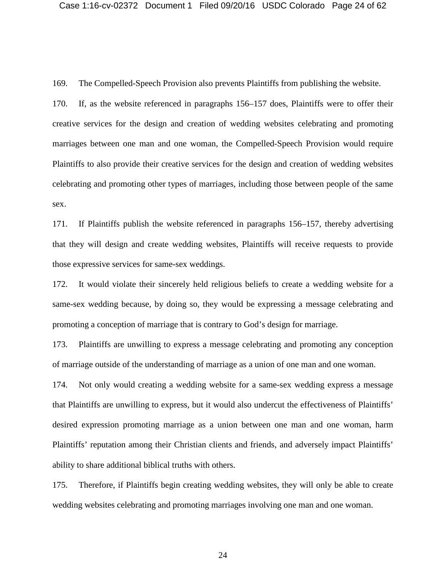169. The Compelled-Speech Provision also prevents Plaintiffs from publishing the website.

170. If, as the website referenced in paragraphs 156–157 does, Plaintiffs were to offer their creative services for the design and creation of wedding websites celebrating and promoting marriages between one man and one woman, the Compelled-Speech Provision would require Plaintiffs to also provide their creative services for the design and creation of wedding websites celebrating and promoting other types of marriages, including those between people of the same sex.

171. If Plaintiffs publish the website referenced in paragraphs 156–157, thereby advertising that they will design and create wedding websites, Plaintiffs will receive requests to provide those expressive services for same-sex weddings.

172. It would violate their sincerely held religious beliefs to create a wedding website for a same-sex wedding because, by doing so, they would be expressing a message celebrating and promoting a conception of marriage that is contrary to God's design for marriage.

173. Plaintiffs are unwilling to express a message celebrating and promoting any conception of marriage outside of the understanding of marriage as a union of one man and one woman.

174. Not only would creating a wedding website for a same-sex wedding express a message that Plaintiffs are unwilling to express, but it would also undercut the effectiveness of Plaintiffs' desired expression promoting marriage as a union between one man and one woman, harm Plaintiffs' reputation among their Christian clients and friends, and adversely impact Plaintiffs' ability to share additional biblical truths with others.

175. Therefore, if Plaintiffs begin creating wedding websites, they will only be able to create wedding websites celebrating and promoting marriages involving one man and one woman.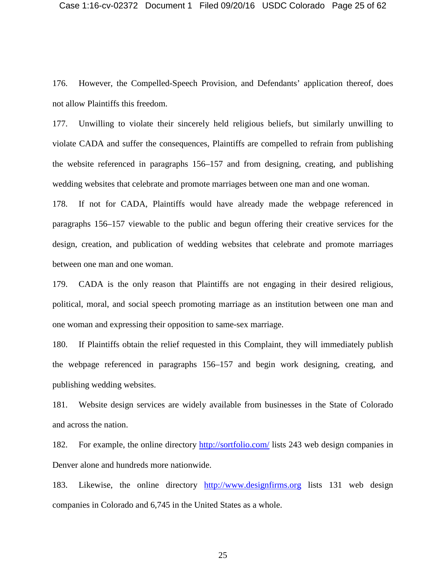176. However, the Compelled-Speech Provision, and Defendants' application thereof, does not allow Plaintiffs this freedom.

177. Unwilling to violate their sincerely held religious beliefs, but similarly unwilling to violate CADA and suffer the consequences, Plaintiffs are compelled to refrain from publishing the website referenced in paragraphs 156–157 and from designing, creating, and publishing wedding websites that celebrate and promote marriages between one man and one woman.

178. If not for CADA, Plaintiffs would have already made the webpage referenced in paragraphs 156–157 viewable to the public and begun offering their creative services for the design, creation, and publication of wedding websites that celebrate and promote marriages between one man and one woman.

179. CADA is the only reason that Plaintiffs are not engaging in their desired religious, political, moral, and social speech promoting marriage as an institution between one man and one woman and expressing their opposition to same-sex marriage.

180. If Plaintiffs obtain the relief requested in this Complaint, they will immediately publish the webpage referenced in paragraphs 156–157 and begin work designing, creating, and publishing wedding websites.

181. Website design services are widely available from businesses in the State of Colorado and across the nation.

182. For example, the online directory<http://sortfolio.com/> lists 243 web design companies in Denver alone and hundreds more nationwide.

183. Likewise, the online directory [http://www.designfirms.org](http://www.designfirms.org/) lists 131 web design companies in Colorado and 6,745 in the United States as a whole.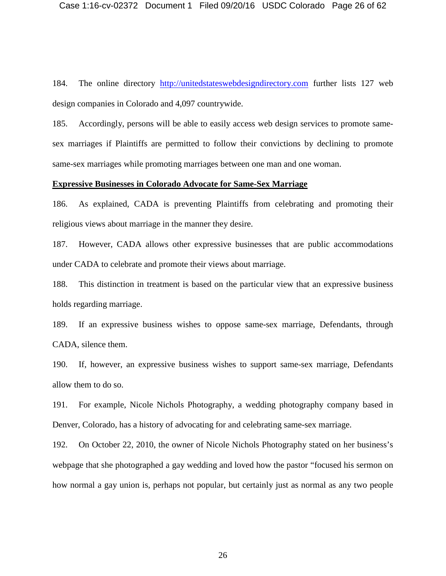184. The online directory [http://unitedstateswebdesigndirectory.com](http://unitedstateswebdesigndirectory.com/) further lists 127 web design companies in Colorado and 4,097 countrywide.

185. Accordingly, persons will be able to easily access web design services to promote samesex marriages if Plaintiffs are permitted to follow their convictions by declining to promote same-sex marriages while promoting marriages between one man and one woman.

#### **Expressive Businesses in Colorado Advocate for Same-Sex Marriage**

186. As explained, CADA is preventing Plaintiffs from celebrating and promoting their religious views about marriage in the manner they desire.

187. However, CADA allows other expressive businesses that are public accommodations under CADA to celebrate and promote their views about marriage.

188. This distinction in treatment is based on the particular view that an expressive business holds regarding marriage.

189. If an expressive business wishes to oppose same-sex marriage, Defendants, through CADA, silence them.

190. If, however, an expressive business wishes to support same-sex marriage, Defendants allow them to do so.

191. For example, Nicole Nichols Photography, a wedding photography company based in Denver, Colorado, has a history of advocating for and celebrating same-sex marriage.

192. On October 22, 2010, the owner of Nicole Nichols Photography stated on her business's webpage that she photographed a gay wedding and loved how the pastor "focused his sermon on how normal a gay union is, perhaps not popular, but certainly just as normal as any two people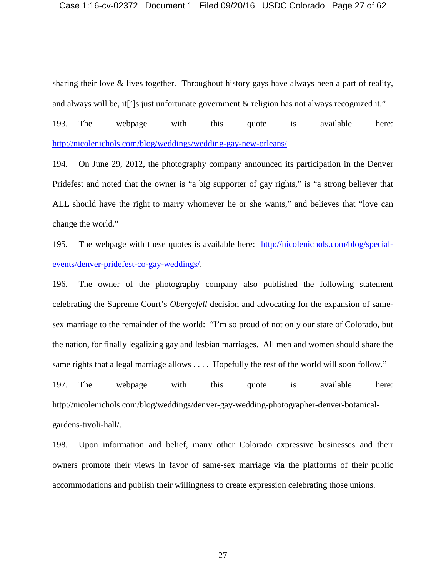## Case 1:16-cv-02372 Document 1 Filed 09/20/16 USDC Colorado Page 27 of 62

sharing their love & lives together. Throughout history gays have always been a part of reality, and always will be, it[']s just unfortunate government & religion has not always recognized it."

193. The webpage with this quote is available here: [http://nicolenichols.com/blog/weddings/wedding-gay-new-orleans/.](http://nicolenichols.com/blog/weddings/wedding-gay-new-orleans/)

194. On June 29, 2012, the photography company announced its participation in the Denver Pridefest and noted that the owner is "a big supporter of gay rights," is "a strong believer that ALL should have the right to marry whomever he or she wants," and believes that "love can change the world."

195. The webpage with these quotes is available here: [http://nicolenichols.com/blog/special](http://nicolenichols.com/blog/special-events/denver-pridefest-co-gay-weddings/)[events/denver-pridefest-co-gay-weddings/.](http://nicolenichols.com/blog/special-events/denver-pridefest-co-gay-weddings/)

196. The owner of the photography company also published the following statement celebrating the Supreme Court's *Obergefell* decision and advocating for the expansion of samesex marriage to the remainder of the world: "I'm so proud of not only our state of Colorado, but the nation, for finally legalizing gay and lesbian marriages. All men and women should share the same rights that a legal marriage allows . . . . Hopefully the rest of the world will soon follow." 197. The webpage with this quote is available here: http://nicolenichols.com/blog/weddings/denver-gay-wedding-photographer-denver-botanicalgardens-tivoli-hall/.

198. Upon information and belief, many other Colorado expressive businesses and their owners promote their views in favor of same-sex marriage via the platforms of their public accommodations and publish their willingness to create expression celebrating those unions.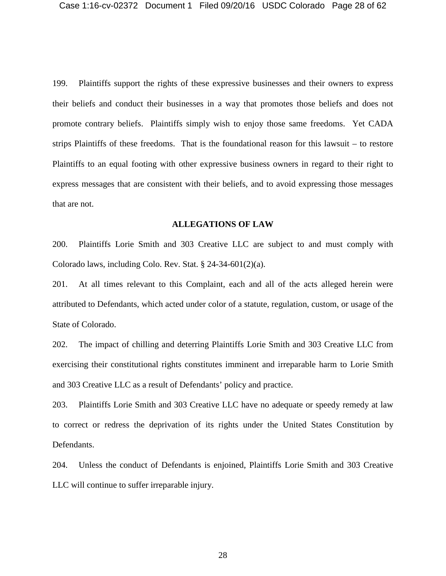199. Plaintiffs support the rights of these expressive businesses and their owners to express their beliefs and conduct their businesses in a way that promotes those beliefs and does not promote contrary beliefs. Plaintiffs simply wish to enjoy those same freedoms. Yet CADA strips Plaintiffs of these freedoms. That is the foundational reason for this lawsuit – to restore Plaintiffs to an equal footing with other expressive business owners in regard to their right to express messages that are consistent with their beliefs, and to avoid expressing those messages that are not.

#### **ALLEGATIONS OF LAW**

200. Plaintiffs Lorie Smith and 303 Creative LLC are subject to and must comply with Colorado laws, including Colo. Rev. Stat. § 24-34-601(2)(a).

201. At all times relevant to this Complaint, each and all of the acts alleged herein were attributed to Defendants, which acted under color of a statute, regulation, custom, or usage of the State of Colorado.

202. The impact of chilling and deterring Plaintiffs Lorie Smith and 303 Creative LLC from exercising their constitutional rights constitutes imminent and irreparable harm to Lorie Smith and 303 Creative LLC as a result of Defendants' policy and practice.

203. Plaintiffs Lorie Smith and 303 Creative LLC have no adequate or speedy remedy at law to correct or redress the deprivation of its rights under the United States Constitution by Defendants.

204. Unless the conduct of Defendants is enjoined, Plaintiffs Lorie Smith and 303 Creative LLC will continue to suffer irreparable injury.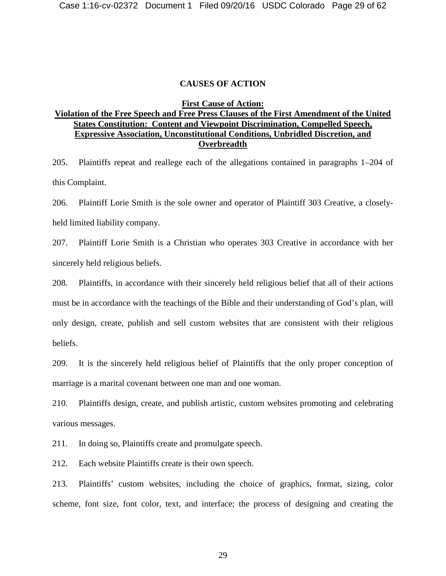### **CAUSES OF ACTION**

## **First Cause of Action: Violation of the Free Speech and Free Press Clauses of the First Amendment of the United States Constitution: Content and Viewpoint Discrimination, Compelled Speech, Expressive Association, Unconstitutional Conditions, Unbridled Discretion, and Overbreadth**

205. Plaintiffs repeat and reallege each of the allegations contained in paragraphs 1–204 of this Complaint.

206. Plaintiff Lorie Smith is the sole owner and operator of Plaintiff 303 Creative, a closelyheld limited liability company.

207. Plaintiff Lorie Smith is a Christian who operates 303 Creative in accordance with her sincerely held religious beliefs.

208. Plaintiffs, in accordance with their sincerely held religious belief that all of their actions must be in accordance with the teachings of the Bible and their understanding of God's plan, will only design, create, publish and sell custom websites that are consistent with their religious beliefs.

209. It is the sincerely held religious belief of Plaintiffs that the only proper conception of marriage is a marital covenant between one man and one woman.

210. Plaintiffs design, create, and publish artistic, custom websites promoting and celebrating various messages.

211. In doing so, Plaintiffs create and promulgate speech.

212. Each website Plaintiffs create is their own speech.

213. Plaintiffs' custom websites, including the choice of graphics, format, sizing, color scheme, font size, font color, text, and interface; the process of designing and creating the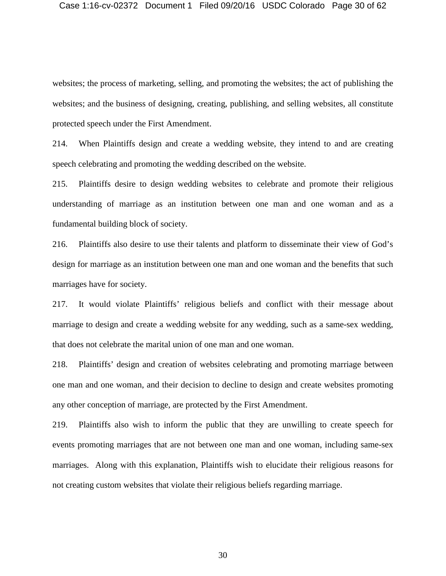websites; the process of marketing, selling, and promoting the websites; the act of publishing the websites; and the business of designing, creating, publishing, and selling websites, all constitute protected speech under the First Amendment.

214. When Plaintiffs design and create a wedding website, they intend to and are creating speech celebrating and promoting the wedding described on the website.

215. Plaintiffs desire to design wedding websites to celebrate and promote their religious understanding of marriage as an institution between one man and one woman and as a fundamental building block of society.

216. Plaintiffs also desire to use their talents and platform to disseminate their view of God's design for marriage as an institution between one man and one woman and the benefits that such marriages have for society.

217. It would violate Plaintiffs' religious beliefs and conflict with their message about marriage to design and create a wedding website for any wedding, such as a same-sex wedding, that does not celebrate the marital union of one man and one woman.

218. Plaintiffs' design and creation of websites celebrating and promoting marriage between one man and one woman, and their decision to decline to design and create websites promoting any other conception of marriage, are protected by the First Amendment.

219. Plaintiffs also wish to inform the public that they are unwilling to create speech for events promoting marriages that are not between one man and one woman, including same-sex marriages. Along with this explanation, Plaintiffs wish to elucidate their religious reasons for not creating custom websites that violate their religious beliefs regarding marriage.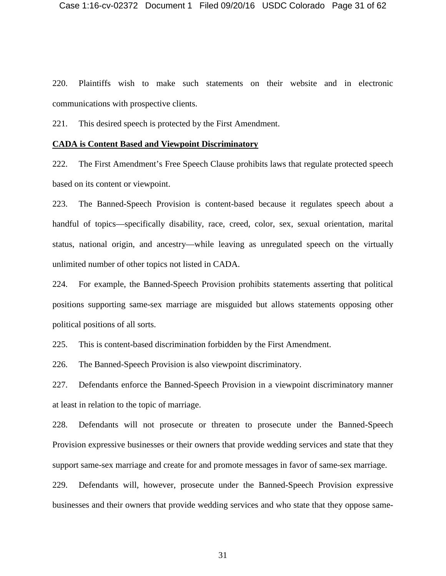220. Plaintiffs wish to make such statements on their website and in electronic communications with prospective clients.

221. This desired speech is protected by the First Amendment.

#### **CADA is Content Based and Viewpoint Discriminatory**

222. The First Amendment's Free Speech Clause prohibits laws that regulate protected speech based on its content or viewpoint.

223. The Banned-Speech Provision is content-based because it regulates speech about a handful of topics—specifically disability, race, creed, color, sex, sexual orientation, marital status, national origin, and ancestry—while leaving as unregulated speech on the virtually unlimited number of other topics not listed in CADA.

224. For example, the Banned-Speech Provision prohibits statements asserting that political positions supporting same-sex marriage are misguided but allows statements opposing other political positions of all sorts.

225. This is content-based discrimination forbidden by the First Amendment.

226. The Banned-Speech Provision is also viewpoint discriminatory.

227. Defendants enforce the Banned-Speech Provision in a viewpoint discriminatory manner at least in relation to the topic of marriage.

228. Defendants will not prosecute or threaten to prosecute under the Banned-Speech Provision expressive businesses or their owners that provide wedding services and state that they support same-sex marriage and create for and promote messages in favor of same-sex marriage.

229. Defendants will, however, prosecute under the Banned-Speech Provision expressive businesses and their owners that provide wedding services and who state that they oppose same-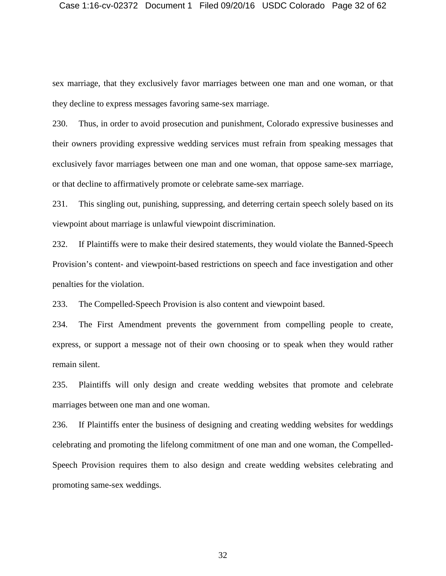sex marriage, that they exclusively favor marriages between one man and one woman, or that they decline to express messages favoring same-sex marriage.

230. Thus, in order to avoid prosecution and punishment, Colorado expressive businesses and their owners providing expressive wedding services must refrain from speaking messages that exclusively favor marriages between one man and one woman, that oppose same-sex marriage, or that decline to affirmatively promote or celebrate same-sex marriage.

231. This singling out, punishing, suppressing, and deterring certain speech solely based on its viewpoint about marriage is unlawful viewpoint discrimination.

232. If Plaintiffs were to make their desired statements, they would violate the Banned-Speech Provision's content- and viewpoint-based restrictions on speech and face investigation and other penalties for the violation.

233. The Compelled-Speech Provision is also content and viewpoint based.

234. The First Amendment prevents the government from compelling people to create, express, or support a message not of their own choosing or to speak when they would rather remain silent.

235. Plaintiffs will only design and create wedding websites that promote and celebrate marriages between one man and one woman.

236. If Plaintiffs enter the business of designing and creating wedding websites for weddings celebrating and promoting the lifelong commitment of one man and one woman, the Compelled-Speech Provision requires them to also design and create wedding websites celebrating and promoting same-sex weddings.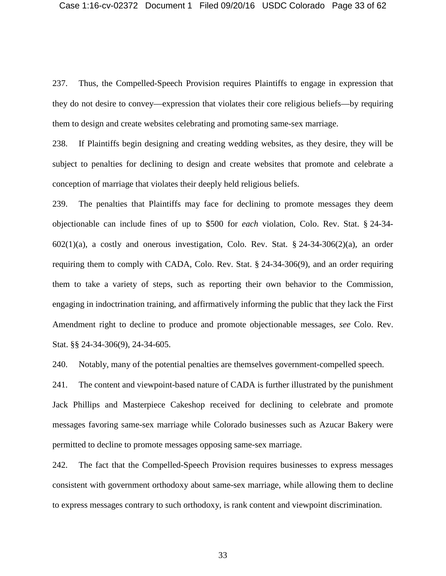237. Thus, the Compelled-Speech Provision requires Plaintiffs to engage in expression that they do not desire to convey—expression that violates their core religious beliefs—by requiring them to design and create websites celebrating and promoting same-sex marriage.

238. If Plaintiffs begin designing and creating wedding websites, as they desire, they will be subject to penalties for declining to design and create websites that promote and celebrate a conception of marriage that violates their deeply held religious beliefs.

239. The penalties that Plaintiffs may face for declining to promote messages they deem objectionable can include fines of up to \$500 for *each* violation, Colo. Rev. Stat. § 24-34-  $602(1)(a)$ , a costly and onerous investigation, Colo. Rev. Stat. § 24-34-306(2)(a), an order requiring them to comply with CADA, Colo. Rev. Stat. § 24-34-306(9), and an order requiring them to take a variety of steps, such as reporting their own behavior to the Commission, engaging in indoctrination training, and affirmatively informing the public that they lack the First Amendment right to decline to produce and promote objectionable messages, *see* Colo. Rev. Stat. §§ 24-34-306(9), 24-34-605.

240. Notably, many of the potential penalties are themselves government-compelled speech.

241. The content and viewpoint-based nature of CADA is further illustrated by the punishment Jack Phillips and Masterpiece Cakeshop received for declining to celebrate and promote messages favoring same-sex marriage while Colorado businesses such as Azucar Bakery were permitted to decline to promote messages opposing same-sex marriage.

242. The fact that the Compelled-Speech Provision requires businesses to express messages consistent with government orthodoxy about same-sex marriage, while allowing them to decline to express messages contrary to such orthodoxy, is rank content and viewpoint discrimination.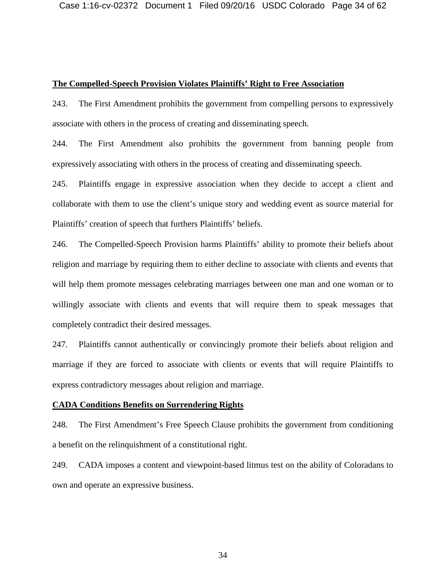## **The Compelled-Speech Provision Violates Plaintiffs' Right to Free Association**

243. The First Amendment prohibits the government from compelling persons to expressively associate with others in the process of creating and disseminating speech.

244. The First Amendment also prohibits the government from banning people from expressively associating with others in the process of creating and disseminating speech.

245. Plaintiffs engage in expressive association when they decide to accept a client and collaborate with them to use the client's unique story and wedding event as source material for Plaintiffs' creation of speech that furthers Plaintiffs' beliefs.

246. The Compelled-Speech Provision harms Plaintiffs' ability to promote their beliefs about religion and marriage by requiring them to either decline to associate with clients and events that will help them promote messages celebrating marriages between one man and one woman or to willingly associate with clients and events that will require them to speak messages that completely contradict their desired messages.

247. Plaintiffs cannot authentically or convincingly promote their beliefs about religion and marriage if they are forced to associate with clients or events that will require Plaintiffs to express contradictory messages about religion and marriage.

## **CADA Conditions Benefits on Surrendering Rights**

248. The First Amendment's Free Speech Clause prohibits the government from conditioning a benefit on the relinquishment of a constitutional right.

249. CADA imposes a content and viewpoint-based litmus test on the ability of Coloradans to own and operate an expressive business.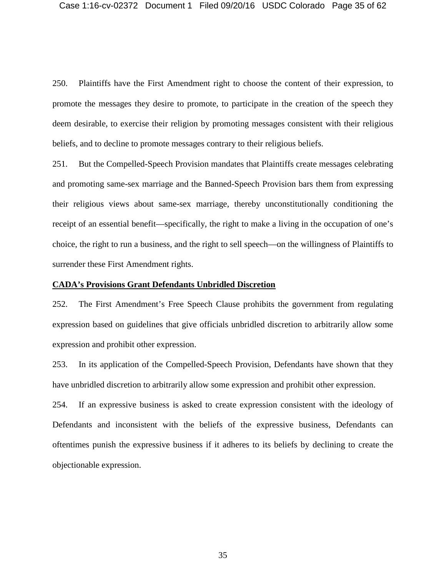250. Plaintiffs have the First Amendment right to choose the content of their expression, to promote the messages they desire to promote, to participate in the creation of the speech they deem desirable, to exercise their religion by promoting messages consistent with their religious beliefs, and to decline to promote messages contrary to their religious beliefs.

251. But the Compelled-Speech Provision mandates that Plaintiffs create messages celebrating and promoting same-sex marriage and the Banned-Speech Provision bars them from expressing their religious views about same-sex marriage, thereby unconstitutionally conditioning the receipt of an essential benefit—specifically, the right to make a living in the occupation of one's choice, the right to run a business, and the right to sell speech—on the willingness of Plaintiffs to surrender these First Amendment rights.

#### **CADA's Provisions Grant Defendants Unbridled Discretion**

252. The First Amendment's Free Speech Clause prohibits the government from regulating expression based on guidelines that give officials unbridled discretion to arbitrarily allow some expression and prohibit other expression.

253. In its application of the Compelled-Speech Provision, Defendants have shown that they have unbridled discretion to arbitrarily allow some expression and prohibit other expression.

254. If an expressive business is asked to create expression consistent with the ideology of Defendants and inconsistent with the beliefs of the expressive business, Defendants can oftentimes punish the expressive business if it adheres to its beliefs by declining to create the objectionable expression.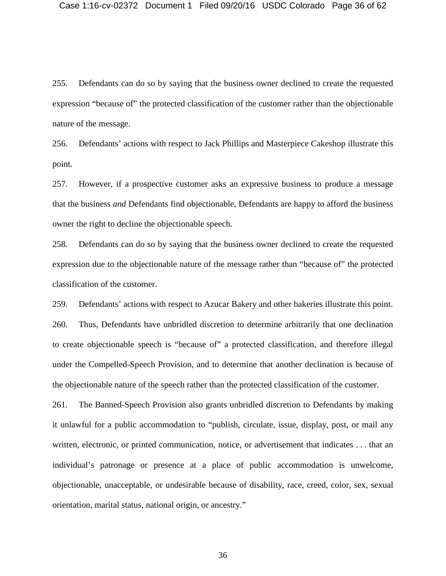255. Defendants can do so by saying that the business owner declined to create the requested expression "because of" the protected classification of the customer rather than the objectionable nature of the message.

256. Defendants' actions with respect to Jack Phillips and Masterpiece Cakeshop illustrate this point.

257. However, if a prospective customer asks an expressive business to produce a message that the business *and* Defendants find objectionable, Defendants are happy to afford the business owner the right to decline the objectionable speech.

258. Defendants can do so by saying that the business owner declined to create the requested expression due to the objectionable nature of the message rather than "because of" the protected classification of the customer.

259. Defendants' actions with respect to Azucar Bakery and other bakeries illustrate this point. 260. Thus, Defendants have unbridled discretion to determine arbitrarily that one declination to create objectionable speech is "because of" a protected classification, and therefore illegal under the Compelled-Speech Provision, and to determine that another declination is because of the objectionable nature of the speech rather than the protected classification of the customer.

261. The Banned-Speech Provision also grants unbridled discretion to Defendants by making it unlawful for a public accommodation to "publish, circulate, issue, display, post, or mail any written, electronic, or printed communication, notice, or advertisement that indicates . . . that an individual's patronage or presence at a place of public accommodation is unwelcome, objectionable, unacceptable, or undesirable because of disability, race, creed, color, sex, sexual orientation, marital status, national origin, or ancestry."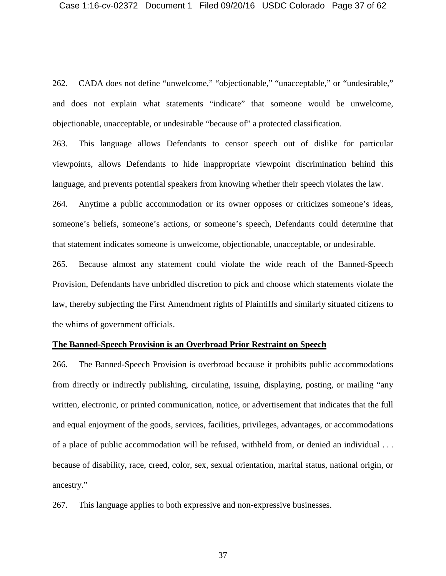262. CADA does not define "unwelcome," "objectionable," "unacceptable," or "undesirable," and does not explain what statements "indicate" that someone would be unwelcome, objectionable, unacceptable, or undesirable "because of" a protected classification.

263. This language allows Defendants to censor speech out of dislike for particular viewpoints, allows Defendants to hide inappropriate viewpoint discrimination behind this language, and prevents potential speakers from knowing whether their speech violates the law.

264. Anytime a public accommodation or its owner opposes or criticizes someone's ideas, someone's beliefs, someone's actions, or someone's speech, Defendants could determine that that statement indicates someone is unwelcome, objectionable, unacceptable, or undesirable.

265. Because almost any statement could violate the wide reach of the Banned-Speech Provision, Defendants have unbridled discretion to pick and choose which statements violate the law, thereby subjecting the First Amendment rights of Plaintiffs and similarly situated citizens to the whims of government officials.

## **The Banned-Speech Provision is an Overbroad Prior Restraint on Speech**

266. The Banned-Speech Provision is overbroad because it prohibits public accommodations from directly or indirectly publishing, circulating, issuing, displaying, posting, or mailing "any written, electronic, or printed communication, notice, or advertisement that indicates that the full and equal enjoyment of the goods, services, facilities, privileges, advantages, or accommodations of a place of public accommodation will be refused, withheld from, or denied an individual . . . because of disability, race, creed, color, sex, sexual orientation, marital status, national origin, or ancestry."

267. This language applies to both expressive and non-expressive businesses.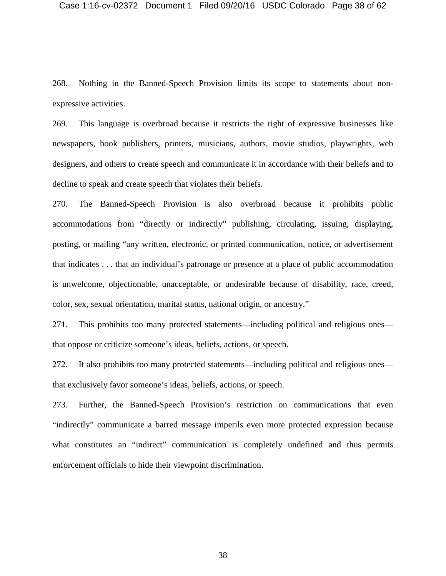268. Nothing in the Banned-Speech Provision limits its scope to statements about nonexpressive activities.

269. This language is overbroad because it restricts the right of expressive businesses like newspapers, book publishers, printers, musicians, authors, movie studios, playwrights, web designers, and others to create speech and communicate it in accordance with their beliefs and to decline to speak and create speech that violates their beliefs.

270. The Banned-Speech Provision is also overbroad because it prohibits public accommodations from "directly or indirectly" publishing, circulating, issuing, displaying, posting, or mailing "any written, electronic, or printed communication, notice, or advertisement that indicates . . . that an individual's patronage or presence at a place of public accommodation is unwelcome, objectionable, unacceptable, or undesirable because of disability, race, creed, color, sex, sexual orientation, marital status, national origin, or ancestry."

271. This prohibits too many protected statements—including political and religious ones that oppose or criticize someone's ideas, beliefs, actions, or speech.

272. It also prohibits too many protected statements—including political and religious ones that exclusively favor someone's ideas, beliefs, actions, or speech.

273. Further, the Banned-Speech Provision's restriction on communications that even "indirectly" communicate a barred message imperils even more protected expression because what constitutes an "indirect" communication is completely undefined and thus permits enforcement officials to hide their viewpoint discrimination.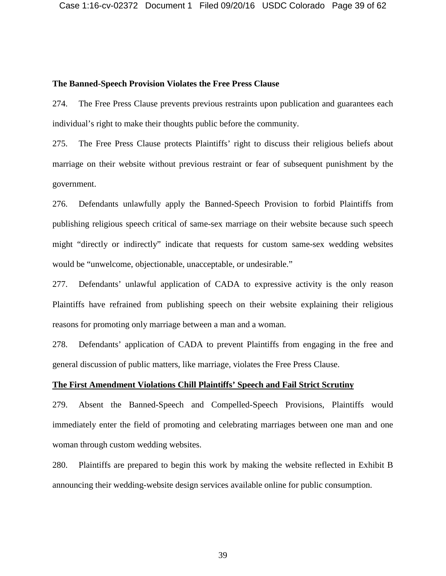### **The Banned-Speech Provision Violates the Free Press Clause**

274. The Free Press Clause prevents previous restraints upon publication and guarantees each individual's right to make their thoughts public before the community.

275. The Free Press Clause protects Plaintiffs' right to discuss their religious beliefs about marriage on their website without previous restraint or fear of subsequent punishment by the government.

276. Defendants unlawfully apply the Banned-Speech Provision to forbid Plaintiffs from publishing religious speech critical of same-sex marriage on their website because such speech might "directly or indirectly" indicate that requests for custom same-sex wedding websites would be "unwelcome, objectionable, unacceptable, or undesirable."

277. Defendants' unlawful application of CADA to expressive activity is the only reason Plaintiffs have refrained from publishing speech on their website explaining their religious reasons for promoting only marriage between a man and a woman.

278. Defendants' application of CADA to prevent Plaintiffs from engaging in the free and general discussion of public matters, like marriage, violates the Free Press Clause.

### **The First Amendment Violations Chill Plaintiffs' Speech and Fail Strict Scrutiny**

279. Absent the Banned-Speech and Compelled-Speech Provisions, Plaintiffs would immediately enter the field of promoting and celebrating marriages between one man and one woman through custom wedding websites.

280. Plaintiffs are prepared to begin this work by making the website reflected in Exhibit B announcing their wedding-website design services available online for public consumption.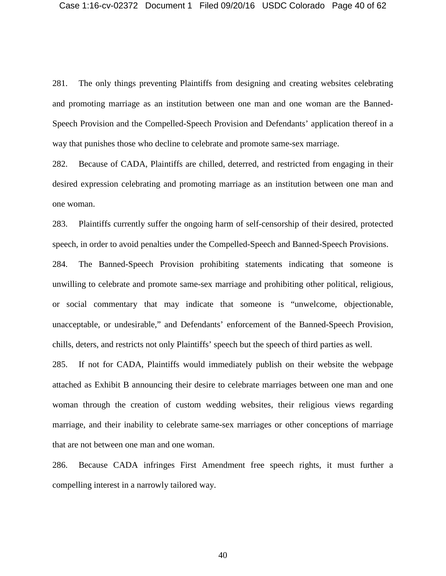281. The only things preventing Plaintiffs from designing and creating websites celebrating and promoting marriage as an institution between one man and one woman are the Banned-Speech Provision and the Compelled-Speech Provision and Defendants' application thereof in a way that punishes those who decline to celebrate and promote same-sex marriage.

282. Because of CADA, Plaintiffs are chilled, deterred, and restricted from engaging in their desired expression celebrating and promoting marriage as an institution between one man and one woman.

283. Plaintiffs currently suffer the ongoing harm of self-censorship of their desired, protected speech, in order to avoid penalties under the Compelled-Speech and Banned-Speech Provisions.

284. The Banned-Speech Provision prohibiting statements indicating that someone is unwilling to celebrate and promote same-sex marriage and prohibiting other political, religious, or social commentary that may indicate that someone is "unwelcome, objectionable, unacceptable, or undesirable," and Defendants' enforcement of the Banned-Speech Provision, chills, deters, and restricts not only Plaintiffs' speech but the speech of third parties as well.

285. If not for CADA, Plaintiffs would immediately publish on their website the webpage attached as Exhibit B announcing their desire to celebrate marriages between one man and one woman through the creation of custom wedding websites, their religious views regarding marriage, and their inability to celebrate same-sex marriages or other conceptions of marriage that are not between one man and one woman.

286. Because CADA infringes First Amendment free speech rights, it must further a compelling interest in a narrowly tailored way.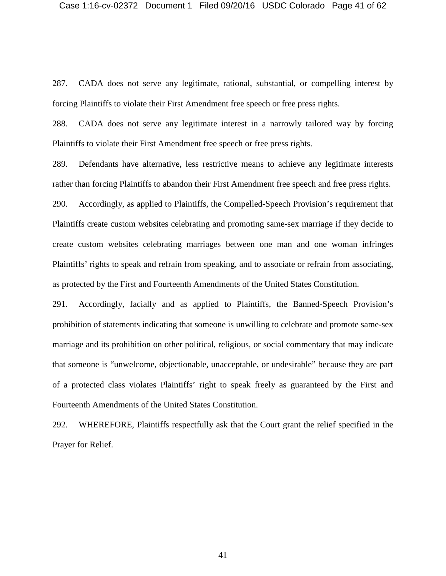287. CADA does not serve any legitimate, rational, substantial, or compelling interest by forcing Plaintiffs to violate their First Amendment free speech or free press rights.

288. CADA does not serve any legitimate interest in a narrowly tailored way by forcing Plaintiffs to violate their First Amendment free speech or free press rights.

289. Defendants have alternative, less restrictive means to achieve any legitimate interests rather than forcing Plaintiffs to abandon their First Amendment free speech and free press rights.

290. Accordingly, as applied to Plaintiffs, the Compelled-Speech Provision's requirement that Plaintiffs create custom websites celebrating and promoting same-sex marriage if they decide to create custom websites celebrating marriages between one man and one woman infringes Plaintiffs' rights to speak and refrain from speaking, and to associate or refrain from associating, as protected by the First and Fourteenth Amendments of the United States Constitution.

291. Accordingly, facially and as applied to Plaintiffs, the Banned-Speech Provision's prohibition of statements indicating that someone is unwilling to celebrate and promote same-sex marriage and its prohibition on other political, religious, or social commentary that may indicate that someone is "unwelcome, objectionable, unacceptable, or undesirable" because they are part of a protected class violates Plaintiffs' right to speak freely as guaranteed by the First and Fourteenth Amendments of the United States Constitution.

292. WHEREFORE, Plaintiffs respectfully ask that the Court grant the relief specified in the Prayer for Relief.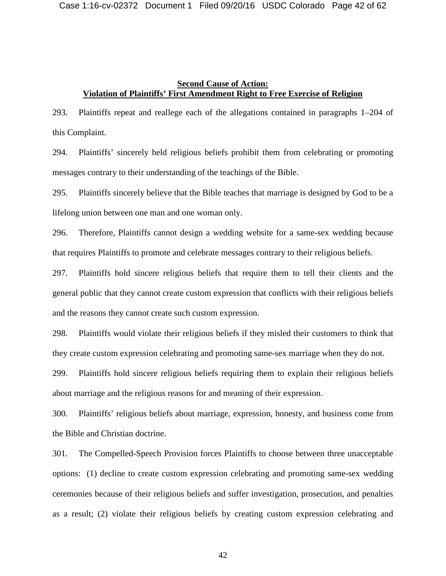## **Second Cause of Action: Violation of Plaintiffs' First Amendment Right to Free Exercise of Religion**

293. Plaintiffs repeat and reallege each of the allegations contained in paragraphs 1–204 of this Complaint.

294. Plaintiffs' sincerely held religious beliefs prohibit them from celebrating or promoting messages contrary to their understanding of the teachings of the Bible.

295. Plaintiffs sincerely believe that the Bible teaches that marriage is designed by God to be a lifelong union between one man and one woman only.

296. Therefore, Plaintiffs cannot design a wedding website for a same-sex wedding because that requires Plaintiffs to promote and celebrate messages contrary to their religious beliefs.

297. Plaintiffs hold sincere religious beliefs that require them to tell their clients and the general public that they cannot create custom expression that conflicts with their religious beliefs and the reasons they cannot create such custom expression.

298. Plaintiffs would violate their religious beliefs if they misled their customers to think that they create custom expression celebrating and promoting same-sex marriage when they do not.

299. Plaintiffs hold sincere religious beliefs requiring them to explain their religious beliefs about marriage and the religious reasons for and meaning of their expression.

300. Plaintiffs' religious beliefs about marriage, expression, honesty, and business come from the Bible and Christian doctrine.

301. The Compelled-Speech Provision forces Plaintiffs to choose between three unacceptable options: (1) decline to create custom expression celebrating and promoting same-sex wedding ceremonies because of their religious beliefs and suffer investigation, prosecution, and penalties as a result; (2) violate their religious beliefs by creating custom expression celebrating and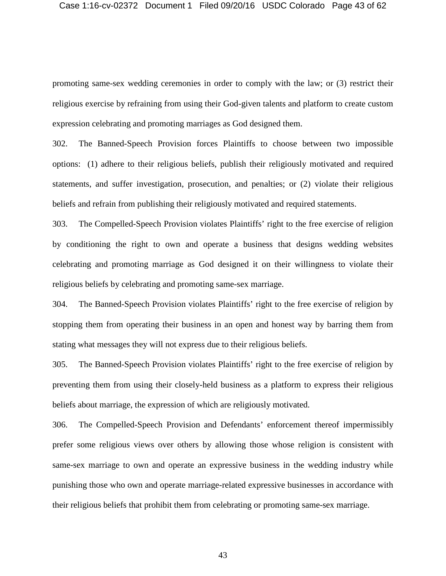promoting same-sex wedding ceremonies in order to comply with the law; or (3) restrict their religious exercise by refraining from using their God-given talents and platform to create custom expression celebrating and promoting marriages as God designed them.

302. The Banned-Speech Provision forces Plaintiffs to choose between two impossible options: (1) adhere to their religious beliefs, publish their religiously motivated and required statements, and suffer investigation, prosecution, and penalties; or (2) violate their religious beliefs and refrain from publishing their religiously motivated and required statements.

303. The Compelled-Speech Provision violates Plaintiffs' right to the free exercise of religion by conditioning the right to own and operate a business that designs wedding websites celebrating and promoting marriage as God designed it on their willingness to violate their religious beliefs by celebrating and promoting same-sex marriage.

304. The Banned-Speech Provision violates Plaintiffs' right to the free exercise of religion by stopping them from operating their business in an open and honest way by barring them from stating what messages they will not express due to their religious beliefs.

305. The Banned-Speech Provision violates Plaintiffs' right to the free exercise of religion by preventing them from using their closely-held business as a platform to express their religious beliefs about marriage, the expression of which are religiously motivated.

306. The Compelled-Speech Provision and Defendants' enforcement thereof impermissibly prefer some religious views over others by allowing those whose religion is consistent with same-sex marriage to own and operate an expressive business in the wedding industry while punishing those who own and operate marriage-related expressive businesses in accordance with their religious beliefs that prohibit them from celebrating or promoting same-sex marriage.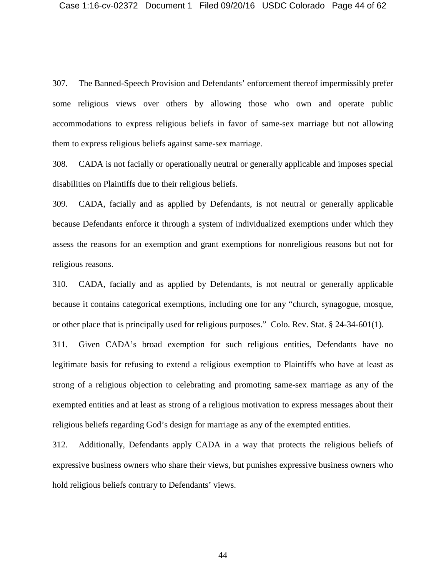307. The Banned-Speech Provision and Defendants' enforcement thereof impermissibly prefer some religious views over others by allowing those who own and operate public accommodations to express religious beliefs in favor of same-sex marriage but not allowing them to express religious beliefs against same-sex marriage.

308. CADA is not facially or operationally neutral or generally applicable and imposes special disabilities on Plaintiffs due to their religious beliefs.

309. CADA, facially and as applied by Defendants, is not neutral or generally applicable because Defendants enforce it through a system of individualized exemptions under which they assess the reasons for an exemption and grant exemptions for nonreligious reasons but not for religious reasons.

310. CADA, facially and as applied by Defendants, is not neutral or generally applicable because it contains categorical exemptions, including one for any "church, synagogue, mosque, or other place that is principally used for religious purposes." Colo. Rev. Stat. § 24-34-601(1).

311. Given CADA's broad exemption for such religious entities, Defendants have no legitimate basis for refusing to extend a religious exemption to Plaintiffs who have at least as strong of a religious objection to celebrating and promoting same-sex marriage as any of the exempted entities and at least as strong of a religious motivation to express messages about their religious beliefs regarding God's design for marriage as any of the exempted entities.

312. Additionally, Defendants apply CADA in a way that protects the religious beliefs of expressive business owners who share their views, but punishes expressive business owners who hold religious beliefs contrary to Defendants' views.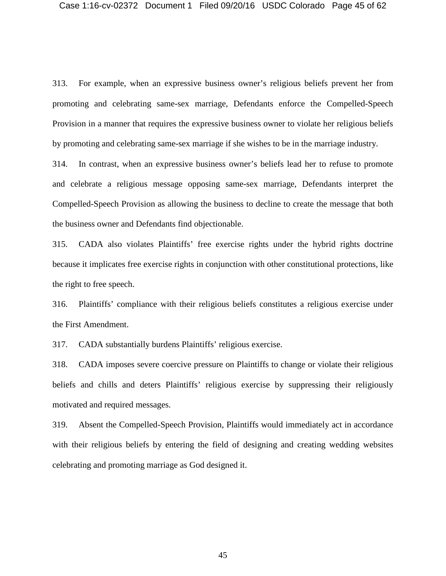313. For example, when an expressive business owner's religious beliefs prevent her from promoting and celebrating same-sex marriage, Defendants enforce the Compelled-Speech Provision in a manner that requires the expressive business owner to violate her religious beliefs by promoting and celebrating same-sex marriage if she wishes to be in the marriage industry.

314. In contrast, when an expressive business owner's beliefs lead her to refuse to promote and celebrate a religious message opposing same-sex marriage, Defendants interpret the Compelled-Speech Provision as allowing the business to decline to create the message that both the business owner and Defendants find objectionable.

315. CADA also violates Plaintiffs' free exercise rights under the hybrid rights doctrine because it implicates free exercise rights in conjunction with other constitutional protections, like the right to free speech.

316. Plaintiffs' compliance with their religious beliefs constitutes a religious exercise under the First Amendment.

317. CADA substantially burdens Plaintiffs' religious exercise.

318. CADA imposes severe coercive pressure on Plaintiffs to change or violate their religious beliefs and chills and deters Plaintiffs' religious exercise by suppressing their religiously motivated and required messages.

319. Absent the Compelled-Speech Provision, Plaintiffs would immediately act in accordance with their religious beliefs by entering the field of designing and creating wedding websites celebrating and promoting marriage as God designed it.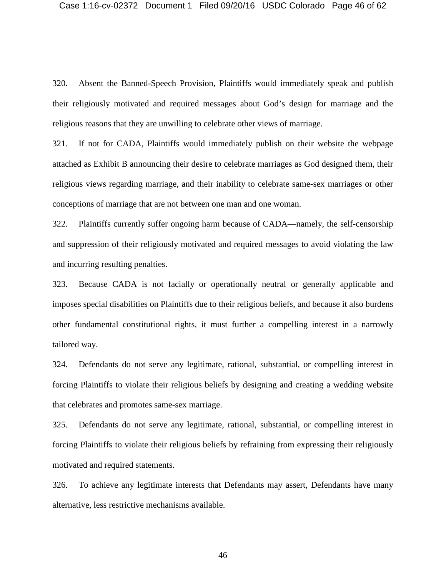320. Absent the Banned-Speech Provision, Plaintiffs would immediately speak and publish their religiously motivated and required messages about God's design for marriage and the religious reasons that they are unwilling to celebrate other views of marriage.

321. If not for CADA, Plaintiffs would immediately publish on their website the webpage attached as Exhibit B announcing their desire to celebrate marriages as God designed them, their religious views regarding marriage, and their inability to celebrate same-sex marriages or other conceptions of marriage that are not between one man and one woman.

322. Plaintiffs currently suffer ongoing harm because of CADA—namely, the self-censorship and suppression of their religiously motivated and required messages to avoid violating the law and incurring resulting penalties.

323. Because CADA is not facially or operationally neutral or generally applicable and imposes special disabilities on Plaintiffs due to their religious beliefs, and because it also burdens other fundamental constitutional rights, it must further a compelling interest in a narrowly tailored way.

324. Defendants do not serve any legitimate, rational, substantial, or compelling interest in forcing Plaintiffs to violate their religious beliefs by designing and creating a wedding website that celebrates and promotes same-sex marriage.

325. Defendants do not serve any legitimate, rational, substantial, or compelling interest in forcing Plaintiffs to violate their religious beliefs by refraining from expressing their religiously motivated and required statements.

326. To achieve any legitimate interests that Defendants may assert, Defendants have many alternative, less restrictive mechanisms available.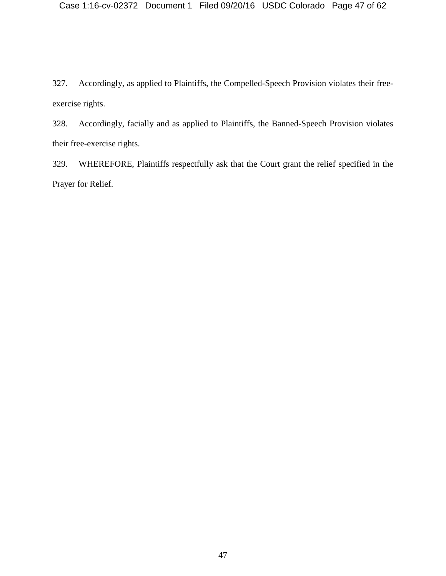327. Accordingly, as applied to Plaintiffs, the Compelled-Speech Provision violates their freeexercise rights.

328. Accordingly, facially and as applied to Plaintiffs, the Banned-Speech Provision violates their free-exercise rights.

329. WHEREFORE, Plaintiffs respectfully ask that the Court grant the relief specified in the Prayer for Relief.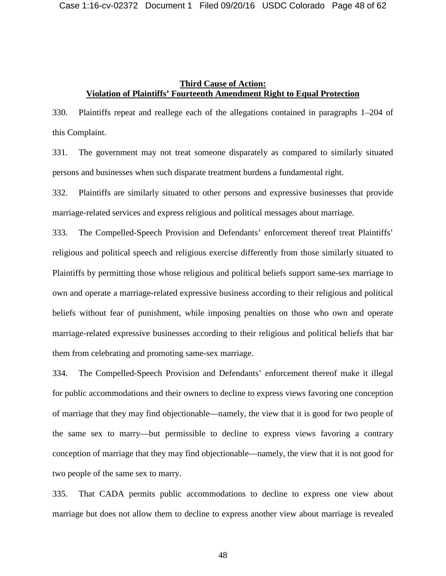### **Third Cause of Action: Violation of Plaintiffs' Fourteenth Amendment Right to Equal Protection**

330. Plaintiffs repeat and reallege each of the allegations contained in paragraphs 1–204 of this Complaint.

331. The government may not treat someone disparately as compared to similarly situated persons and businesses when such disparate treatment burdens a fundamental right.

332. Plaintiffs are similarly situated to other persons and expressive businesses that provide marriage-related services and express religious and political messages about marriage.

333. The Compelled-Speech Provision and Defendants' enforcement thereof treat Plaintiffs' religious and political speech and religious exercise differently from those similarly situated to Plaintiffs by permitting those whose religious and political beliefs support same-sex marriage to own and operate a marriage-related expressive business according to their religious and political beliefs without fear of punishment, while imposing penalties on those who own and operate marriage-related expressive businesses according to their religious and political beliefs that bar them from celebrating and promoting same-sex marriage.

334. The Compelled-Speech Provision and Defendants' enforcement thereof make it illegal for public accommodations and their owners to decline to express views favoring one conception of marriage that they may find objectionable—namely, the view that it is good for two people of the same sex to marry—but permissible to decline to express views favoring a contrary conception of marriage that they may find objectionable—namely, the view that it is not good for two people of the same sex to marry.

335. That CADA permits public accommodations to decline to express one view about marriage but does not allow them to decline to express another view about marriage is revealed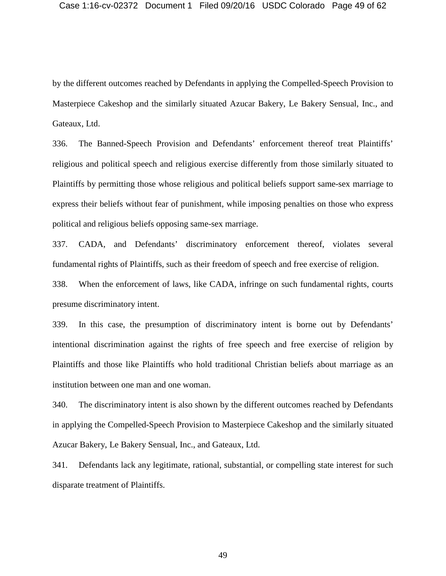by the different outcomes reached by Defendants in applying the Compelled-Speech Provision to Masterpiece Cakeshop and the similarly situated Azucar Bakery, Le Bakery Sensual, Inc., and Gateaux, Ltd.

336. The Banned-Speech Provision and Defendants' enforcement thereof treat Plaintiffs' religious and political speech and religious exercise differently from those similarly situated to Plaintiffs by permitting those whose religious and political beliefs support same-sex marriage to express their beliefs without fear of punishment, while imposing penalties on those who express political and religious beliefs opposing same-sex marriage.

337. CADA, and Defendants' discriminatory enforcement thereof, violates several fundamental rights of Plaintiffs, such as their freedom of speech and free exercise of religion.

338. When the enforcement of laws, like CADA, infringe on such fundamental rights, courts presume discriminatory intent.

339. In this case, the presumption of discriminatory intent is borne out by Defendants' intentional discrimination against the rights of free speech and free exercise of religion by Plaintiffs and those like Plaintiffs who hold traditional Christian beliefs about marriage as an institution between one man and one woman.

340. The discriminatory intent is also shown by the different outcomes reached by Defendants in applying the Compelled-Speech Provision to Masterpiece Cakeshop and the similarly situated Azucar Bakery, Le Bakery Sensual, Inc., and Gateaux, Ltd.

341. Defendants lack any legitimate, rational, substantial, or compelling state interest for such disparate treatment of Plaintiffs.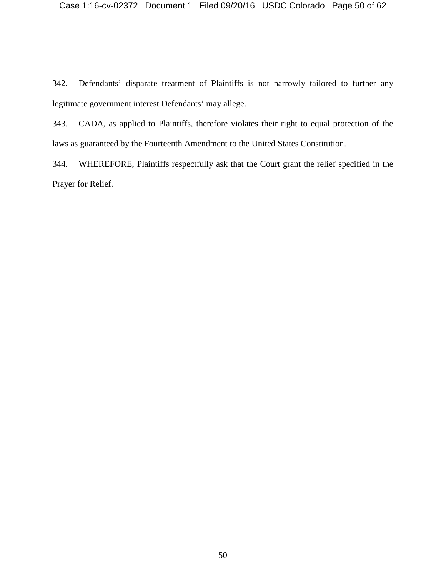342. Defendants' disparate treatment of Plaintiffs is not narrowly tailored to further any legitimate government interest Defendants' may allege.

343. CADA, as applied to Plaintiffs, therefore violates their right to equal protection of the laws as guaranteed by the Fourteenth Amendment to the United States Constitution.

344. WHEREFORE, Plaintiffs respectfully ask that the Court grant the relief specified in the Prayer for Relief.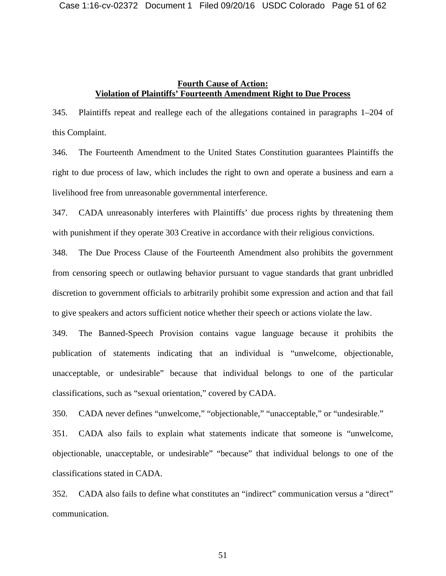### **Fourth Cause of Action: Violation of Plaintiffs' Fourteenth Amendment Right to Due Process**

345. Plaintiffs repeat and reallege each of the allegations contained in paragraphs 1–204 of this Complaint.

346. The Fourteenth Amendment to the United States Constitution guarantees Plaintiffs the right to due process of law, which includes the right to own and operate a business and earn a livelihood free from unreasonable governmental interference.

347. CADA unreasonably interferes with Plaintiffs' due process rights by threatening them with punishment if they operate 303 Creative in accordance with their religious convictions.

348. The Due Process Clause of the Fourteenth Amendment also prohibits the government from censoring speech or outlawing behavior pursuant to vague standards that grant unbridled discretion to government officials to arbitrarily prohibit some expression and action and that fail to give speakers and actors sufficient notice whether their speech or actions violate the law.

349. The Banned-Speech Provision contains vague language because it prohibits the publication of statements indicating that an individual is "unwelcome, objectionable, unacceptable, or undesirable" because that individual belongs to one of the particular classifications, such as "sexual orientation," covered by CADA.

350. CADA never defines "unwelcome," "objectionable," "unacceptable," or "undesirable."

351. CADA also fails to explain what statements indicate that someone is "unwelcome, objectionable, unacceptable, or undesirable" "because" that individual belongs to one of the classifications stated in CADA.

352. CADA also fails to define what constitutes an "indirect" communication versus a "direct" communication.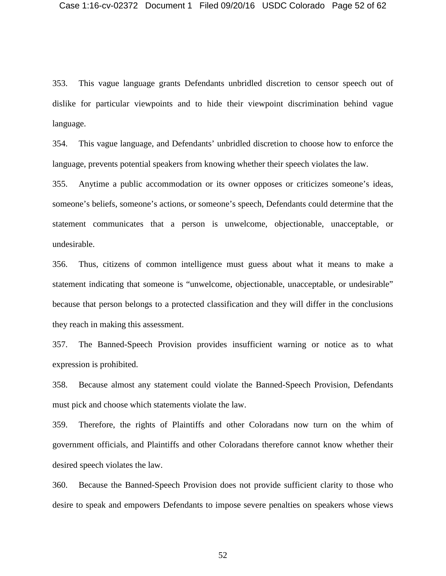353. This vague language grants Defendants unbridled discretion to censor speech out of dislike for particular viewpoints and to hide their viewpoint discrimination behind vague language.

354. This vague language, and Defendants' unbridled discretion to choose how to enforce the language, prevents potential speakers from knowing whether their speech violates the law.

355. Anytime a public accommodation or its owner opposes or criticizes someone's ideas, someone's beliefs, someone's actions, or someone's speech, Defendants could determine that the statement communicates that a person is unwelcome, objectionable, unacceptable, or undesirable.

356. Thus, citizens of common intelligence must guess about what it means to make a statement indicating that someone is "unwelcome, objectionable, unacceptable, or undesirable" because that person belongs to a protected classification and they will differ in the conclusions they reach in making this assessment.

357. The Banned-Speech Provision provides insufficient warning or notice as to what expression is prohibited.

358. Because almost any statement could violate the Banned-Speech Provision, Defendants must pick and choose which statements violate the law.

359. Therefore, the rights of Plaintiffs and other Coloradans now turn on the whim of government officials, and Plaintiffs and other Coloradans therefore cannot know whether their desired speech violates the law.

360. Because the Banned-Speech Provision does not provide sufficient clarity to those who desire to speak and empowers Defendants to impose severe penalties on speakers whose views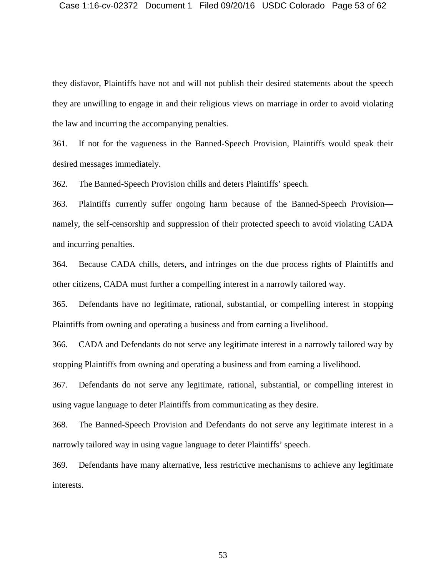they disfavor, Plaintiffs have not and will not publish their desired statements about the speech they are unwilling to engage in and their religious views on marriage in order to avoid violating the law and incurring the accompanying penalties.

361. If not for the vagueness in the Banned-Speech Provision, Plaintiffs would speak their desired messages immediately.

362. The Banned-Speech Provision chills and deters Plaintiffs' speech.

363. Plaintiffs currently suffer ongoing harm because of the Banned-Speech Provision namely, the self-censorship and suppression of their protected speech to avoid violating CADA and incurring penalties.

364. Because CADA chills, deters, and infringes on the due process rights of Plaintiffs and other citizens, CADA must further a compelling interest in a narrowly tailored way.

365. Defendants have no legitimate, rational, substantial, or compelling interest in stopping Plaintiffs from owning and operating a business and from earning a livelihood.

366. CADA and Defendants do not serve any legitimate interest in a narrowly tailored way by stopping Plaintiffs from owning and operating a business and from earning a livelihood.

367. Defendants do not serve any legitimate, rational, substantial, or compelling interest in using vague language to deter Plaintiffs from communicating as they desire.

368. The Banned-Speech Provision and Defendants do not serve any legitimate interest in a narrowly tailored way in using vague language to deter Plaintiffs' speech.

369. Defendants have many alternative, less restrictive mechanisms to achieve any legitimate interests.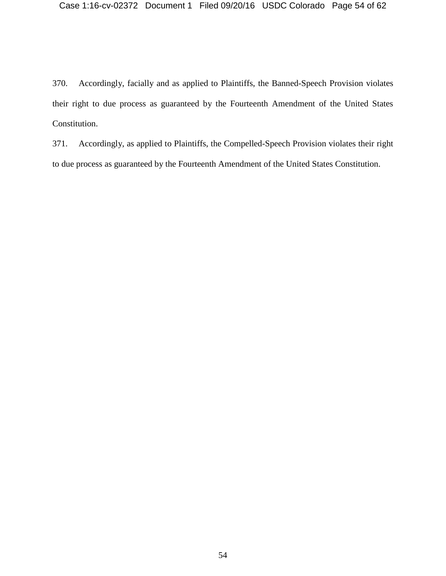370. Accordingly, facially and as applied to Plaintiffs, the Banned-Speech Provision violates their right to due process as guaranteed by the Fourteenth Amendment of the United States Constitution.

371. Accordingly, as applied to Plaintiffs, the Compelled-Speech Provision violates their right to due process as guaranteed by the Fourteenth Amendment of the United States Constitution.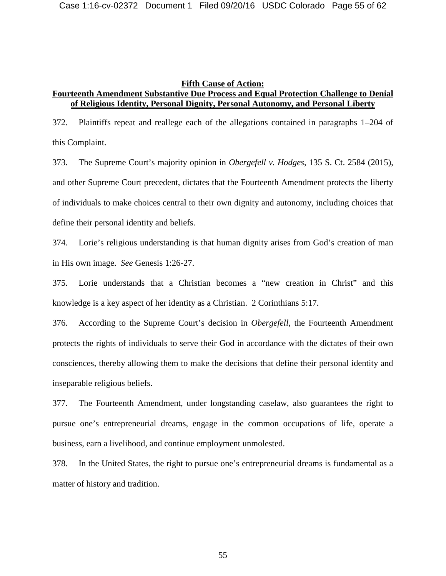## **Fifth Cause of Action: Fourteenth Amendment Substantive Due Process and Equal Protection Challenge to Denial of Religious Identity, Personal Dignity, Personal Autonomy, and Personal Liberty**

372. Plaintiffs repeat and reallege each of the allegations contained in paragraphs 1–204 of this Complaint.

373. The Supreme Court's majority opinion in *Obergefell v. Hodges*, 135 S. Ct. 2584 (2015), and other Supreme Court precedent, dictates that the Fourteenth Amendment protects the liberty of individuals to make choices central to their own dignity and autonomy, including choices that define their personal identity and beliefs.

374. Lorie's religious understanding is that human dignity arises from God's creation of man in His own image. *See* Genesis 1:26-27.

375. Lorie understands that a Christian becomes a "new creation in Christ" and this knowledge is a key aspect of her identity as a Christian. 2 Corinthians 5:17.

376. According to the Supreme Court's decision in *Obergefell*, the Fourteenth Amendment protects the rights of individuals to serve their God in accordance with the dictates of their own consciences, thereby allowing them to make the decisions that define their personal identity and inseparable religious beliefs.

377. The Fourteenth Amendment, under longstanding caselaw, also guarantees the right to pursue one's entrepreneurial dreams, engage in the common occupations of life, operate a business, earn a livelihood, and continue employment unmolested.

378. In the United States, the right to pursue one's entrepreneurial dreams is fundamental as a matter of history and tradition.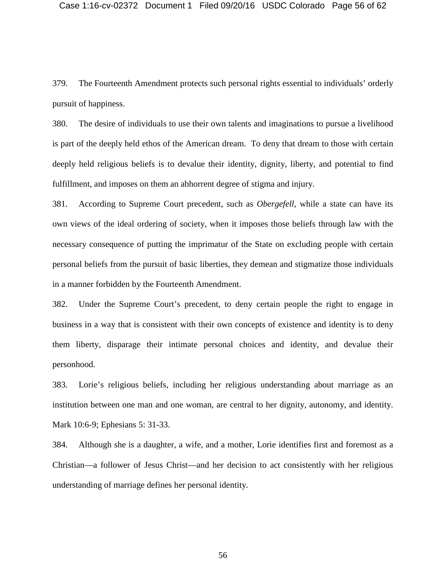379. The Fourteenth Amendment protects such personal rights essential to individuals' orderly pursuit of happiness.

380. The desire of individuals to use their own talents and imaginations to pursue a livelihood is part of the deeply held ethos of the American dream. To deny that dream to those with certain deeply held religious beliefs is to devalue their identity, dignity, liberty, and potential to find fulfillment, and imposes on them an abhorrent degree of stigma and injury.

381. According to Supreme Court precedent, such as *Obergefell*, while a state can have its own views of the ideal ordering of society, when it imposes those beliefs through law with the necessary consequence of putting the imprimatur of the State on excluding people with certain personal beliefs from the pursuit of basic liberties, they demean and stigmatize those individuals in a manner forbidden by the Fourteenth Amendment.

382. Under the Supreme Court's precedent, to deny certain people the right to engage in business in a way that is consistent with their own concepts of existence and identity is to deny them liberty, disparage their intimate personal choices and identity, and devalue their personhood.

383. Lorie's religious beliefs, including her religious understanding about marriage as an institution between one man and one woman, are central to her dignity, autonomy, and identity. Mark 10:6-9; Ephesians 5: 31-33.

384. Although she is a daughter, a wife, and a mother, Lorie identifies first and foremost as a Christian—a follower of Jesus Christ—and her decision to act consistently with her religious understanding of marriage defines her personal identity.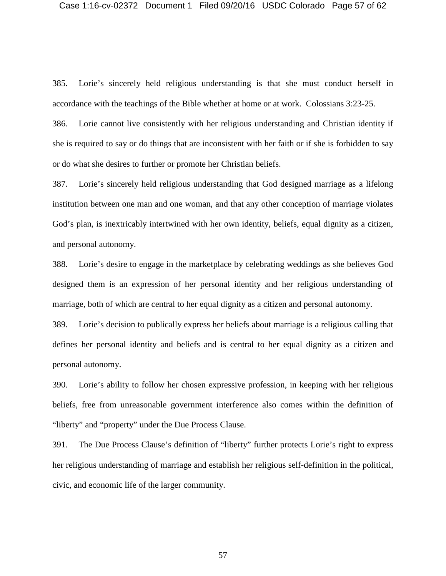385. Lorie's sincerely held religious understanding is that she must conduct herself in accordance with the teachings of the Bible whether at home or at work. Colossians 3:23-25.

386. Lorie cannot live consistently with her religious understanding and Christian identity if she is required to say or do things that are inconsistent with her faith or if she is forbidden to say or do what she desires to further or promote her Christian beliefs.

387. Lorie's sincerely held religious understanding that God designed marriage as a lifelong institution between one man and one woman, and that any other conception of marriage violates God's plan, is inextricably intertwined with her own identity, beliefs, equal dignity as a citizen, and personal autonomy.

388. Lorie's desire to engage in the marketplace by celebrating weddings as she believes God designed them is an expression of her personal identity and her religious understanding of marriage, both of which are central to her equal dignity as a citizen and personal autonomy.

389. Lorie's decision to publically express her beliefs about marriage is a religious calling that defines her personal identity and beliefs and is central to her equal dignity as a citizen and personal autonomy.

390. Lorie's ability to follow her chosen expressive profession, in keeping with her religious beliefs, free from unreasonable government interference also comes within the definition of "liberty" and "property" under the Due Process Clause.

391. The Due Process Clause's definition of "liberty" further protects Lorie's right to express her religious understanding of marriage and establish her religious self-definition in the political, civic, and economic life of the larger community.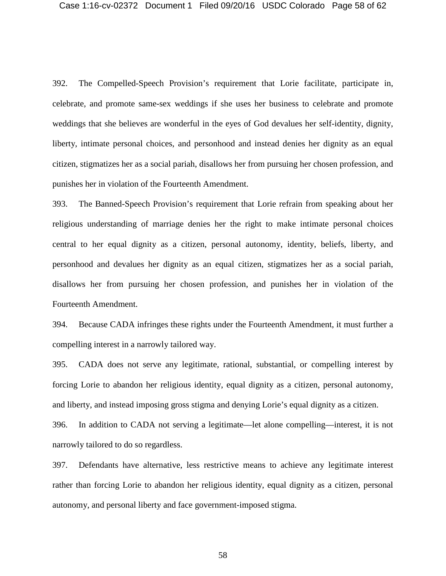392. The Compelled-Speech Provision's requirement that Lorie facilitate, participate in, celebrate, and promote same-sex weddings if she uses her business to celebrate and promote weddings that she believes are wonderful in the eyes of God devalues her self-identity, dignity, liberty, intimate personal choices, and personhood and instead denies her dignity as an equal citizen, stigmatizes her as a social pariah, disallows her from pursuing her chosen profession, and punishes her in violation of the Fourteenth Amendment.

393. The Banned-Speech Provision's requirement that Lorie refrain from speaking about her religious understanding of marriage denies her the right to make intimate personal choices central to her equal dignity as a citizen, personal autonomy, identity, beliefs, liberty, and personhood and devalues her dignity as an equal citizen, stigmatizes her as a social pariah, disallows her from pursuing her chosen profession, and punishes her in violation of the Fourteenth Amendment.

394. Because CADA infringes these rights under the Fourteenth Amendment, it must further a compelling interest in a narrowly tailored way.

395. CADA does not serve any legitimate, rational, substantial, or compelling interest by forcing Lorie to abandon her religious identity, equal dignity as a citizen, personal autonomy, and liberty, and instead imposing gross stigma and denying Lorie's equal dignity as a citizen.

396. In addition to CADA not serving a legitimate—let alone compelling—interest, it is not narrowly tailored to do so regardless.

397. Defendants have alternative, less restrictive means to achieve any legitimate interest rather than forcing Lorie to abandon her religious identity, equal dignity as a citizen, personal autonomy, and personal liberty and face government-imposed stigma.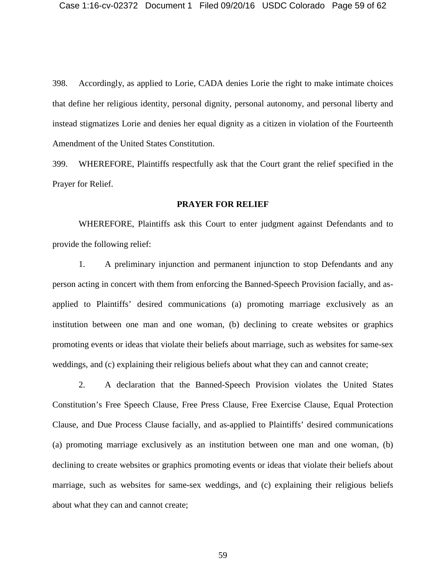398. Accordingly, as applied to Lorie, CADA denies Lorie the right to make intimate choices that define her religious identity, personal dignity, personal autonomy, and personal liberty and instead stigmatizes Lorie and denies her equal dignity as a citizen in violation of the Fourteenth Amendment of the United States Constitution.

399. WHEREFORE, Plaintiffs respectfully ask that the Court grant the relief specified in the Prayer for Relief.

### **PRAYER FOR RELIEF**

WHEREFORE, Plaintiffs ask this Court to enter judgment against Defendants and to provide the following relief:

1. A preliminary injunction and permanent injunction to stop Defendants and any person acting in concert with them from enforcing the Banned-Speech Provision facially, and asapplied to Plaintiffs' desired communications (a) promoting marriage exclusively as an institution between one man and one woman, (b) declining to create websites or graphics promoting events or ideas that violate their beliefs about marriage, such as websites for same-sex weddings, and (c) explaining their religious beliefs about what they can and cannot create;

2. A declaration that the Banned-Speech Provision violates the United States Constitution's Free Speech Clause, Free Press Clause, Free Exercise Clause, Equal Protection Clause, and Due Process Clause facially, and as-applied to Plaintiffs' desired communications (a) promoting marriage exclusively as an institution between one man and one woman, (b) declining to create websites or graphics promoting events or ideas that violate their beliefs about marriage, such as websites for same-sex weddings, and (c) explaining their religious beliefs about what they can and cannot create;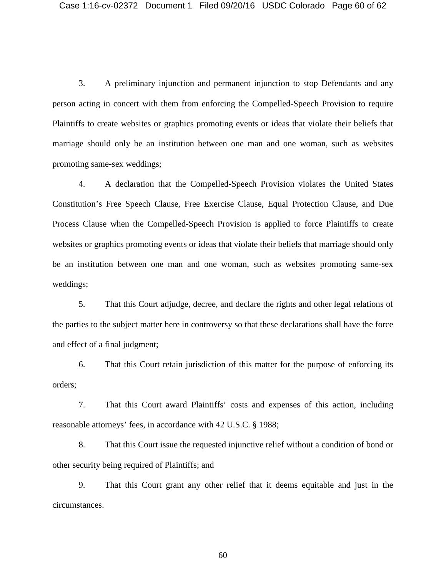3. A preliminary injunction and permanent injunction to stop Defendants and any person acting in concert with them from enforcing the Compelled-Speech Provision to require Plaintiffs to create websites or graphics promoting events or ideas that violate their beliefs that marriage should only be an institution between one man and one woman, such as websites promoting same-sex weddings;

4. A declaration that the Compelled-Speech Provision violates the United States Constitution's Free Speech Clause, Free Exercise Clause, Equal Protection Clause, and Due Process Clause when the Compelled-Speech Provision is applied to force Plaintiffs to create websites or graphics promoting events or ideas that violate their beliefs that marriage should only be an institution between one man and one woman, such as websites promoting same-sex weddings;

5. That this Court adjudge, decree, and declare the rights and other legal relations of the parties to the subject matter here in controversy so that these declarations shall have the force and effect of a final judgment;

6. That this Court retain jurisdiction of this matter for the purpose of enforcing its orders;

7. That this Court award Plaintiffs' costs and expenses of this action, including reasonable attorneys' fees, in accordance with 42 U.S.C. § 1988;

8. That this Court issue the requested injunctive relief without a condition of bond or other security being required of Plaintiffs; and

9. That this Court grant any other relief that it deems equitable and just in the circumstances.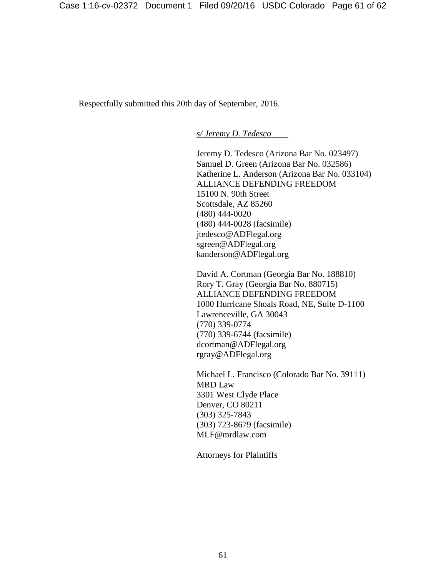Respectfully submitted this 20th day of September, 2016.

*s/ Jeremy D. Tedesco*

Jeremy D. Tedesco (Arizona Bar No. 023497) Samuel D. Green (Arizona Bar No. 032586) Katherine L. Anderson (Arizona Bar No. 033104) ALLIANCE DEFENDING FREEDOM 15100 N. 90th Street Scottsdale, AZ 85260 (480) 444-0020 (480) 444-0028 (facsimile) jtedesco@ADFlegal.org sgreen@ADFlegal.org kanderson@ADFlegal.org

David A. Cortman (Georgia Bar No. 188810) Rory T. Gray (Georgia Bar No. 880715) ALLIANCE DEFENDING FREEDOM 1000 Hurricane Shoals Road, NE, Suite D-1100 Lawrenceville, GA 30043 (770) 339-0774 (770) 339-6744 (facsimile) dcortman@ADFlegal.org rgray@ADFlegal.org

Michael L. Francisco (Colorado Bar No. 39111) MRD Law 3301 West Clyde Place Denver, CO 80211 (303) 325-7843 (303) 723-8679 (facsimile) MLF@mrdlaw.com

Attorneys for Plaintiffs